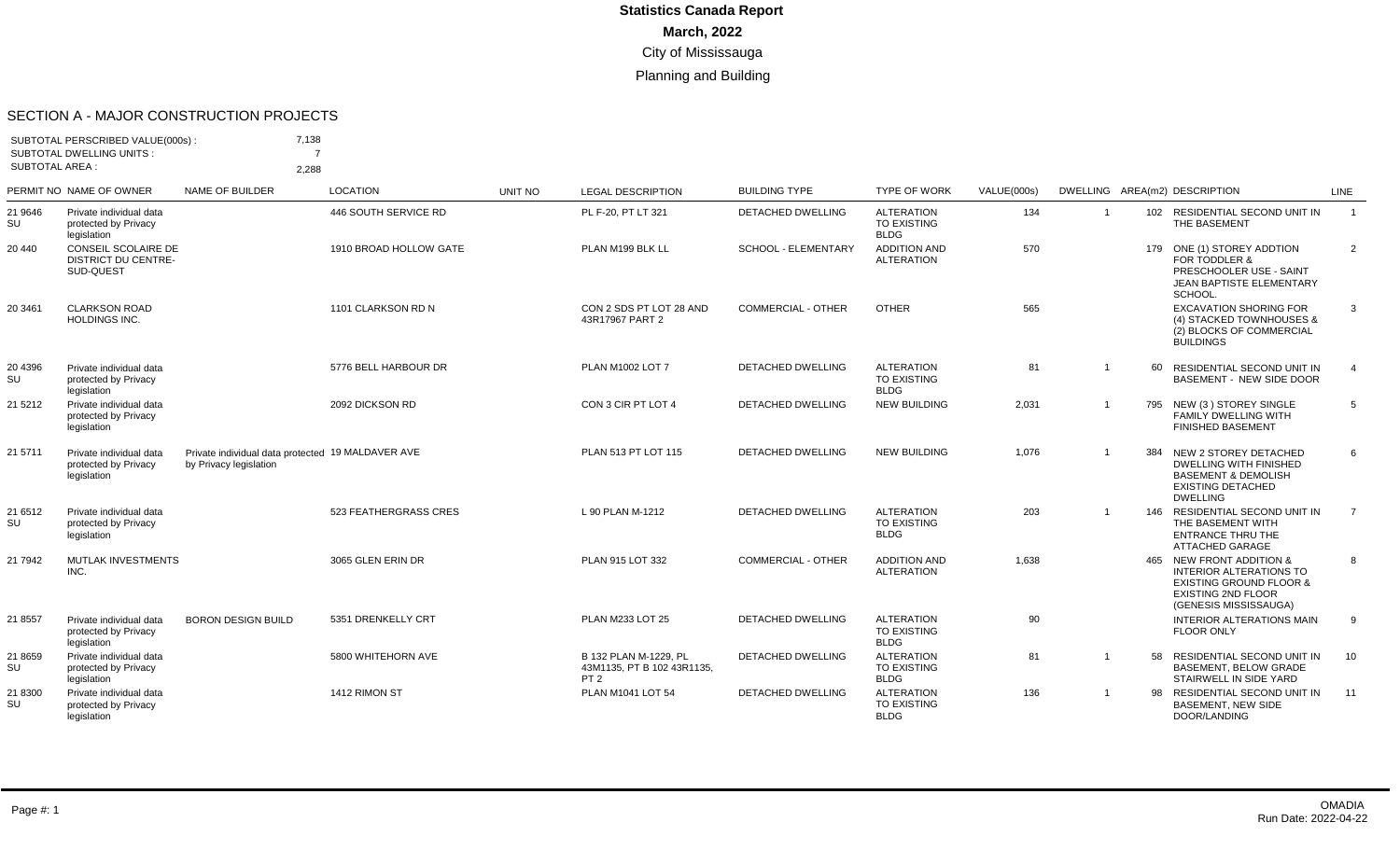#### SECTION A - MAJOR CONSTRUCTION PROJECTS

|                       | SUBTOTAL PERSCRIBED VALUE(000s):<br><b>SUBTOTAL DWELLING UNITS:</b> | 7,138<br>$\overline{ }$                                                     |                        |         |                                                                        |                           |                                                        |             |                |     |                                                                                                                                                        |                |
|-----------------------|---------------------------------------------------------------------|-----------------------------------------------------------------------------|------------------------|---------|------------------------------------------------------------------------|---------------------------|--------------------------------------------------------|-------------|----------------|-----|--------------------------------------------------------------------------------------------------------------------------------------------------------|----------------|
| <b>SUBTOTAL AREA:</b> |                                                                     | 2,288                                                                       |                        |         |                                                                        |                           |                                                        |             |                |     |                                                                                                                                                        |                |
|                       | PERMIT NO NAME OF OWNER                                             | <b>NAME OF BUILDER</b>                                                      | <b>LOCATION</b>        | UNIT NO | <b>LEGAL DESCRIPTION</b>                                               | <b>BUILDING TYPE</b>      | <b>TYPE OF WORK</b>                                    | VALUE(000s) |                |     | DWELLING AREA(m2) DESCRIPTION                                                                                                                          | LINE           |
| 21 9646<br>SU         | Private individual data<br>protected by Privacy<br>legislation      |                                                                             | 446 SOUTH SERVICE RD   |         | PL F-20, PT LT 321                                                     | DETACHED DWELLING         | <b>ALTERATION</b><br>TO EXISTING<br><b>BLDG</b>        | 134         | $\overline{1}$ |     | 102 RESIDENTIAL SECOND UNIT IN<br>THE BASEMENT                                                                                                         | $\overline{1}$ |
| 20 440                | CONSEIL SCOLAIRE DE<br><b>DISTRICT DU CENTRE-</b><br>SUD-QUEST      |                                                                             | 1910 BROAD HOLLOW GATE |         | PLAN M199 BLK LL                                                       | SCHOOL - ELEMENTARY       | <b>ADDITION AND</b><br><b>ALTERATION</b>               | 570         |                | 179 | ONE (1) STOREY ADDTION<br>FOR TODDLER &<br>PRESCHOOLER USE - SAINT<br>JEAN BAPTISTE ELEMENTARY<br>SCHOOL.                                              | $\overline{2}$ |
| 20 34 61              | <b>CLARKSON ROAD</b><br>HOLDINGS INC.                               |                                                                             | 1101 CLARKSON RD N     |         | CON 2 SDS PT LOT 28 AND<br>43R17967 PART 2                             | <b>COMMERCIAL - OTHER</b> | <b>OTHER</b>                                           | 565         |                |     | <b>EXCAVATION SHORING FOR</b><br>(4) STACKED TOWNHOUSES &<br>(2) BLOCKS OF COMMERCIAL<br><b>BUILDINGS</b>                                              | 3              |
| 20 4396<br>SU         | Private individual data<br>protected by Privacy<br>legislation      |                                                                             | 5776 BELL HARBOUR DR   |         | <b>PLAN M1002 LOT 7</b>                                                | <b>DETACHED DWELLING</b>  | <b>ALTERATION</b><br>TO EXISTING<br><b>BLDG</b>        | 81          | $\overline{1}$ | 60  | RESIDENTIAL SECOND UNIT IN<br><b>BASEMENT - NEW SIDE DOOR</b>                                                                                          | $\overline{4}$ |
| 21 5 21 2             | Private individual data<br>protected by Privacy<br>legislation      |                                                                             | 2092 DICKSON RD        |         | CON 3 CIR PT LOT 4                                                     | <b>DETACHED DWELLING</b>  | <b>NEW BUILDING</b>                                    | 2,031       | $\mathbf{1}$   | 795 | NEW (3) STOREY SINGLE<br><b>FAMILY DWELLING WITH</b><br><b>FINISHED BASEMENT</b>                                                                       | 5              |
| 21 5711               | Private individual data<br>protected by Privacy<br>legislation      | Private individual data protected 19 MALDAVER AVE<br>by Privacy legislation |                        |         | PLAN 513 PT LOT 115                                                    | <b>DETACHED DWELLING</b>  | <b>NEW BUILDING</b>                                    | 1,076       | $\overline{1}$ | 384 | NEW 2 STOREY DETACHED<br><b>DWELLING WITH FINISHED</b><br><b>BASEMENT &amp; DEMOLISH</b><br><b>EXISTING DETACHED</b><br><b>DWELLING</b>                | 6              |
| 21 6512<br>SU         | Private individual data<br>protected by Privacy<br>legislation      |                                                                             | 523 FEATHERGRASS CRES  |         | L 90 PLAN M-1212                                                       | <b>DETACHED DWELLING</b>  | <b>ALTERATION</b><br><b>TO EXISTING</b><br><b>BLDG</b> | 203         | $\overline{1}$ |     | 146 RESIDENTIAL SECOND UNIT IN<br>THE BASEMENT WITH<br><b>ENTRANCE THRU THE</b><br><b>ATTACHED GARAGE</b>                                              | $\overline{7}$ |
| 21 7942               | MUTLAK INVESTMENTS<br>INC.                                          |                                                                             | 3065 GLEN ERIN DR      |         | PLAN 915 LOT 332                                                       | <b>COMMERCIAL - OTHER</b> | <b>ADDITION AND</b><br><b>ALTERATION</b>               | 1,638       |                |     | 465 NEW FRONT ADDITION &<br><b>INTERIOR ALTERATIONS TO</b><br><b>EXISTING GROUND FLOOR &amp;</b><br><b>EXISTING 2ND FLOOR</b><br>(GENESIS MISSISSAUGA) | 8              |
| 21 8557               | Private individual data<br>protected by Privacy<br>legislation      | <b>BORON DESIGN BUILD</b>                                                   | 5351 DRENKELLY CRT     |         | PLAN M233 LOT 25                                                       | <b>DETACHED DWELLING</b>  | <b>ALTERATION</b><br><b>TO EXISTING</b><br><b>BLDG</b> | 90          |                |     | <b>INTERIOR ALTERATIONS MAIN</b><br><b>FLOOR ONLY</b>                                                                                                  | 9              |
| 21 8659<br>SU         | Private individual data<br>protected by Privacy<br>legislation      |                                                                             | 5800 WHITEHORN AVE     |         | B 132 PLAN M-1229. PL<br>43M1135, PT B 102 43R1135,<br>PT <sub>2</sub> | DETACHED DWELLING         | <b>ALTERATION</b><br><b>TO EXISTING</b><br><b>BLDG</b> | 81          | $\mathbf{1}$   | 58  | RESIDENTIAL SECOND UNIT IN<br><b>BASEMENT, BELOW GRADE</b><br>STAIRWELL IN SIDE YARD                                                                   | 10             |
| 21 8300<br>SU         | Private individual data<br>protected by Privacy<br>legislation      |                                                                             | 1412 RIMON ST          |         | PLAN M1041 LOT 54                                                      | <b>DETACHED DWELLING</b>  | <b>ALTERATION</b><br><b>TO EXISTING</b><br><b>BLDG</b> | 136         | $\overline{1}$ | 98  | RESIDENTIAL SECOND UNIT IN<br><b>BASEMENT, NEW SIDE</b><br>DOOR/LANDING                                                                                | 11             |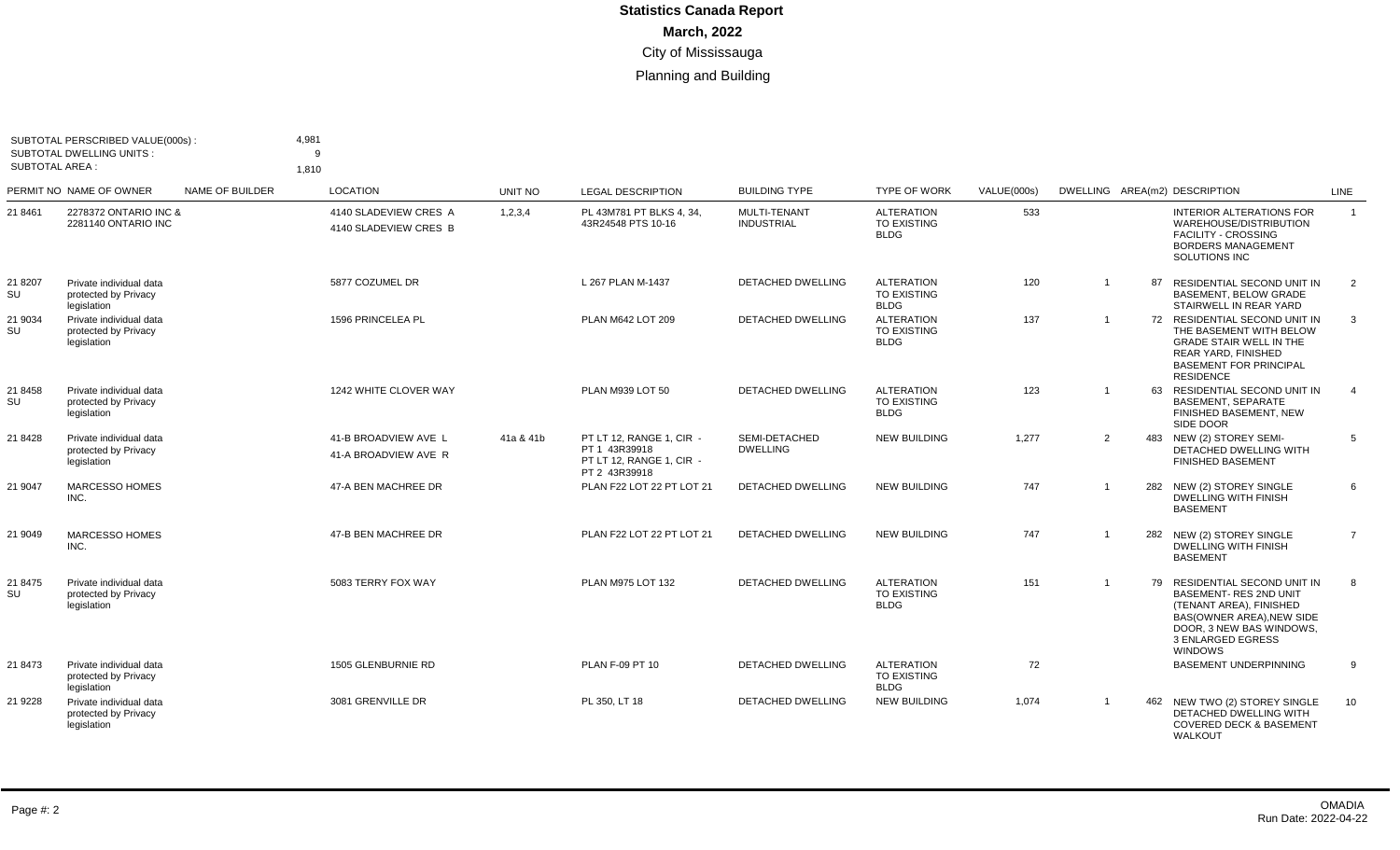| SUBTOTAL AREA : | SUBTOTAL PERSCRIBED VALUE(000s):<br><b>SUBTOTAL DWELLING UNITS:</b> |                 | 4,981<br>q<br>1.810                            |           |                                                                                        |                                   |                                                        |             |                |    |                                                                                                                                                                                      |                |
|-----------------|---------------------------------------------------------------------|-----------------|------------------------------------------------|-----------|----------------------------------------------------------------------------------------|-----------------------------------|--------------------------------------------------------|-------------|----------------|----|--------------------------------------------------------------------------------------------------------------------------------------------------------------------------------------|----------------|
|                 | PERMIT NO NAME OF OWNER                                             | NAME OF BUILDER | <b>LOCATION</b>                                | UNIT NO   | <b>LEGAL DESCRIPTION</b>                                                               | <b>BUILDING TYPE</b>              | <b>TYPE OF WORK</b>                                    | VALUE(000s) |                |    | DWELLING AREA(m2) DESCRIPTION                                                                                                                                                        | LINE           |
| 21 8461         | 2278372 ONTARIO INC &<br>2281140 ONTARIO INC                        |                 | 4140 SLADEVIEW CRES A<br>4140 SLADEVIEW CRES B | 1,2,3,4   | PL 43M781 PT BLKS 4, 34,<br>43R24548 PTS 10-16                                         | MULTI-TENANT<br><b>INDUSTRIAL</b> | <b>ALTERATION</b><br><b>TO EXISTING</b><br><b>BLDG</b> | 533         |                |    | <b>INTERIOR ALTERATIONS FOR</b><br>WAREHOUSE/DISTRIBUTION<br><b>FACILITY - CROSSING</b><br><b>BORDERS MANAGEMENT</b><br>SOLUTIONS INC                                                | $\overline{1}$ |
| 21 8207<br>SU   | Private individual data<br>protected by Privacy<br>legislation      |                 | 5877 COZUMEL DR                                |           | L 267 PLAN M-1437                                                                      | <b>DETACHED DWELLING</b>          | <b>ALTERATION</b><br><b>TO EXISTING</b><br><b>BLDG</b> | 120         | $\overline{1}$ | 87 | RESIDENTIAL SECOND UNIT IN<br><b>BASEMENT, BELOW GRADE</b><br>STAIRWELL IN REAR YARD                                                                                                 | 2              |
| 21 9034<br>SU   | Private individual data<br>protected by Privacy<br>legislation      |                 | 1596 PRINCELEA PL                              |           | PLAN M642 LOT 209                                                                      | <b>DETACHED DWELLING</b>          | <b>ALTERATION</b><br><b>TO EXISTING</b><br><b>BLDG</b> | 137         | $\overline{1}$ |    | 72 RESIDENTIAL SECOND UNIT IN<br>THE BASEMENT WITH BELOW<br><b>GRADE STAIR WELL IN THE</b><br>REAR YARD, FINISHED<br><b>BASEMENT FOR PRINCIPAL</b><br><b>RESIDENCE</b>               | 3              |
| 21 8458<br>SU   | Private individual data<br>protected by Privacy<br>legislation      |                 | 1242 WHITE CLOVER WAY                          |           | PLAN M939 LOT 50                                                                       | DETACHED DWELLING                 | <b>ALTERATION</b><br><b>TO EXISTING</b><br><b>BLDG</b> | 123         | $\overline{1}$ |    | 63 RESIDENTIAL SECOND UNIT IN<br><b>BASEMENT, SEPARATE</b><br>FINISHED BASEMENT, NEW<br>SIDE DOOR                                                                                    | $\overline{4}$ |
| 21 8428         | Private individual data<br>protected by Privacy<br>legislation      |                 | 41-B BROADVIEW AVE L<br>41-A BROADVIEW AVE R   | 41a & 41b | PT LT 12. RANGE 1. CIR -<br>PT 1 43R39918<br>PT LT 12, RANGE 1, CIR -<br>PT 2 43R39918 | SEMI-DETACHED<br><b>DWELLING</b>  | <b>NEW BUILDING</b>                                    | 1.277       | 2              |    | 483 NEW (2) STOREY SEMI-<br>DETACHED DWELLING WITH<br><b>FINISHED BASEMENT</b>                                                                                                       | .5             |
| 21 9047         | MARCESSO HOMES<br>INC.                                              |                 | 47-A BEN MACHREE DR                            |           | PLAN F22 LOT 22 PT LOT 21                                                              | <b>DETACHED DWELLING</b>          | <b>NEW BUILDING</b>                                    | 747         | $\overline{1}$ |    | 282 NEW (2) STOREY SINGLE<br><b>DWELLING WITH FINISH</b><br><b>BASEMENT</b>                                                                                                          | 6              |
| 21 9049         | <b>MARCESSO HOMES</b><br>INC.                                       |                 | 47-B BEN MACHREE DR                            |           | PLAN F22 LOT 22 PT LOT 21                                                              | DETACHED DWELLING                 | <b>NEW BUILDING</b>                                    | 747         | $\overline{1}$ |    | 282 NEW (2) STOREY SINGLE<br><b>DWELLING WITH FINISH</b><br><b>BASEMENT</b>                                                                                                          | $\overline{7}$ |
| 21 8475<br>SU   | Private individual data<br>protected by Privacy<br>legislation      |                 | 5083 TERRY FOX WAY                             |           | PLAN M975 LOT 132                                                                      | <b>DETACHED DWELLING</b>          | <b>ALTERATION</b><br><b>TO EXISTING</b><br><b>BLDG</b> | 151         | $\overline{1}$ | 79 | RESIDENTIAL SECOND UNIT IN<br><b>BASEMENT-RES 2ND UNIT</b><br>(TENANT AREA), FINISHED<br><b>BAS(OWNER AREA).NEW SIDE</b><br>DOOR, 3 NEW BAS WINDOWS,<br>3 ENLARGED EGRESS<br>WINDOWS | 8              |
| 21 8473         | Private individual data<br>protected by Privacy<br>legislation      |                 | 1505 GLENBURNIE RD                             |           | PLAN F-09 PT 10                                                                        | <b>DETACHED DWELLING</b>          | <b>ALTERATION</b><br><b>TO EXISTING</b><br><b>BLDG</b> | 72          |                |    | <b>BASEMENT UNDERPINNING</b>                                                                                                                                                         | 9              |
| 21 9228         | Private individual data<br>protected by Privacy<br>legislation      |                 | 3081 GRENVILLE DR                              |           | PL 350, LT 18                                                                          | <b>DETACHED DWELLING</b>          | <b>NEW BUILDING</b>                                    | 1,074       | $\overline{1}$ |    | 462 NEW TWO (2) STOREY SINGLE<br>DETACHED DWELLING WITH<br><b>COVERED DECK &amp; BASEMENT</b><br>WALKOUT                                                                             | 10             |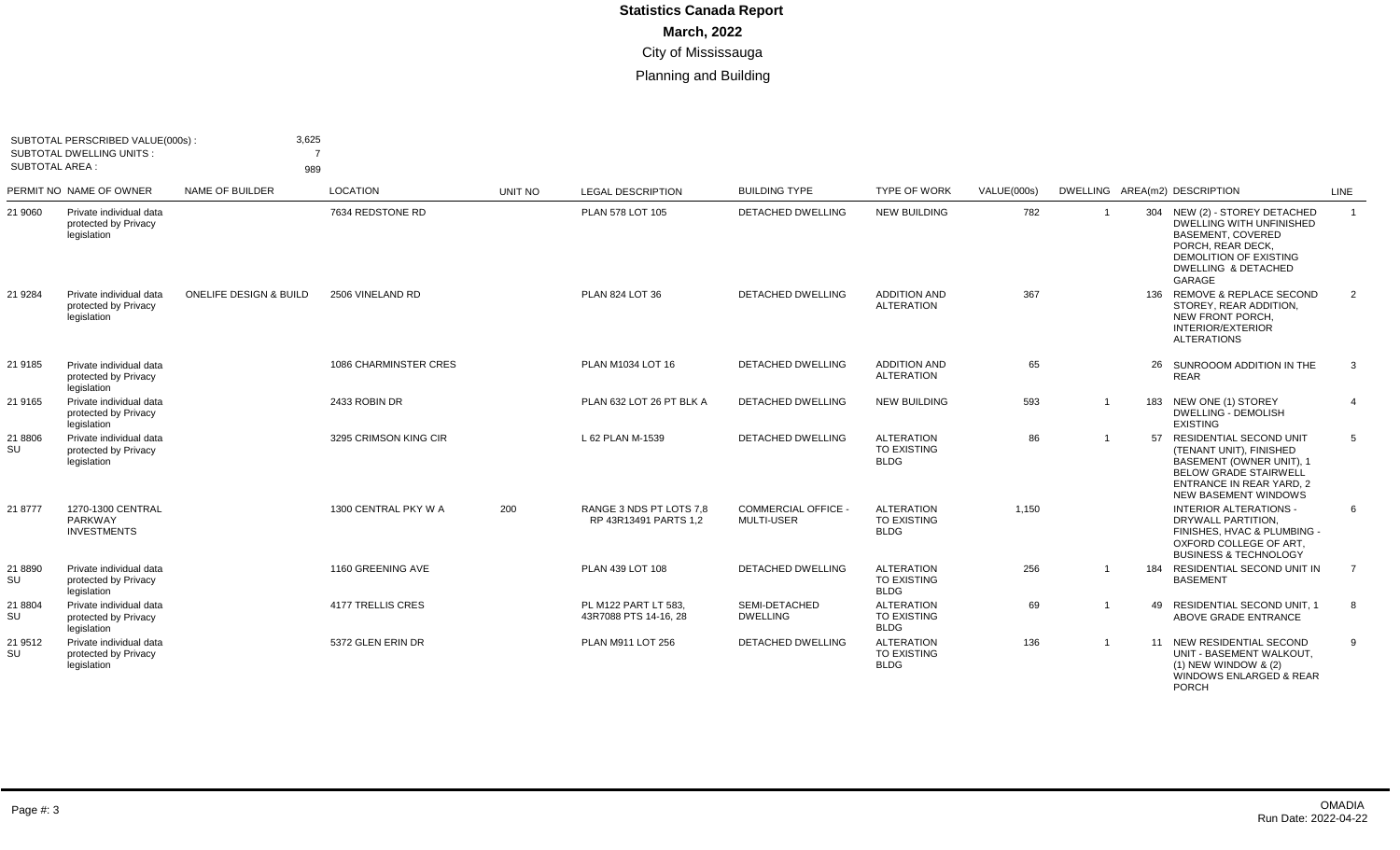|                 | SUBTOTAL PERSCRIBED VALUE(000s):<br><b>SUBTOTAL DWELLING UNITS:</b> | 3,625                             |                              |         |                                                  |                                                 |                                                        |             |                |                                                                                                                                                                                            |                |
|-----------------|---------------------------------------------------------------------|-----------------------------------|------------------------------|---------|--------------------------------------------------|-------------------------------------------------|--------------------------------------------------------|-------------|----------------|--------------------------------------------------------------------------------------------------------------------------------------------------------------------------------------------|----------------|
| SUBTOTAL AREA : |                                                                     | 989                               |                              |         |                                                  |                                                 |                                                        |             |                |                                                                                                                                                                                            |                |
|                 | PERMIT NO NAME OF OWNER                                             | NAME OF BUILDER                   | LOCATION                     | UNIT NO | <b>LEGAL DESCRIPTION</b>                         | <b>BUILDING TYPE</b>                            | <b>TYPE OF WORK</b>                                    | VALUE(000s) |                | DWELLING AREA(m2) DESCRIPTION                                                                                                                                                              | LINE           |
| 21 9060         | Private individual data<br>protected by Privacy<br>legislation      |                                   | 7634 REDSTONE RD             |         | PLAN 578 LOT 105                                 | <b>DETACHED DWELLING</b>                        | <b>NEW BUILDING</b>                                    | 782         | $\overline{1}$ | 304 NEW (2) - STOREY DETACHED<br><b>DWELLING WITH UNFINISHED</b><br>BASEMENT, COVERED<br>PORCH, REAR DECK,<br>DEMOLITION OF EXISTING<br>DWELLING & DETACHED<br>GARAGE                      | $\overline{1}$ |
| 21 9284         | Private individual data<br>protected by Privacy<br>legislation      | <b>ONELIFE DESIGN &amp; BUILD</b> | 2506 VINELAND RD             |         | PLAN 824 LOT 36                                  | <b>DETACHED DWELLING</b>                        | <b>ADDITION AND</b><br><b>ALTERATION</b>               | 367         |                | 136 REMOVE & REPLACE SECOND<br>STOREY, REAR ADDITION.<br>NEW FRONT PORCH.<br><b>INTERIOR/EXTERIOR</b><br><b>ALTERATIONS</b>                                                                | 2              |
| 21 9185         | Private individual data<br>protected by Privacy<br>legislation      |                                   | <b>1086 CHARMINSTER CRES</b> |         | PLAN M1034 LOT 16                                | <b>DETACHED DWELLING</b>                        | <b>ADDITION AND</b><br><b>ALTERATION</b>               | 65          |                | 26 SUNROOOM ADDITION IN THE<br><b>REAR</b>                                                                                                                                                 | 3              |
| 21 9165         | Private individual data<br>protected by Privacy<br>legislation      |                                   | 2433 ROBIN DR                |         | PLAN 632 LOT 26 PT BLK A                         | <b>DETACHED DWELLING</b>                        | <b>NEW BUILDING</b>                                    | 593         |                | 183 NEW ONE (1) STOREY<br><b>DWELLING - DEMOLISH</b><br><b>EXISTING</b>                                                                                                                    | $\overline{4}$ |
| 21 8806<br>SU   | Private individual data<br>protected by Privacy<br>legislation      |                                   | 3295 CRIMSON KING CIR        |         | L 62 PLAN M-1539                                 | DETACHED DWELLING                               | <b>ALTERATION</b><br>TO EXISTING<br><b>BLDG</b>        | 86          | $\overline{1}$ | 57 RESIDENTIAL SECOND UNIT<br>(TENANT UNIT), FINISHED<br><b>BASEMENT (OWNER UNIT), 1</b><br><b>BELOW GRADE STAIRWELL</b><br><b>ENTRANCE IN REAR YARD, 2</b><br><b>NEW BASEMENT WINDOWS</b> | 5              |
| 21 8777         | 1270-1300 CENTRAL<br>PARKWAY<br><b>INVESTMENTS</b>                  |                                   | 1300 CENTRAL PKY W A         | 200     | RANGE 3 NDS PT LOTS 7.8<br>RP 43R13491 PARTS 1.2 | <b>COMMERCIAL OFFICE -</b><br><b>MULTI-USER</b> | <b>ALTERATION</b><br><b>TO EXISTING</b><br><b>BLDG</b> | 1.150       |                | <b>INTERIOR ALTERATIONS -</b><br>DRYWALL PARTITION.<br>FINISHES, HVAC & PLUMBING -<br>OXFORD COLLEGE OF ART.<br><b>BUSINESS &amp; TECHNOLOGY</b>                                           | 6              |
| 21 8890<br>SU   | Private individual data<br>protected by Privacy<br>legislation      |                                   | 1160 GREENING AVE            |         | PLAN 439 LOT 108                                 | <b>DETACHED DWELLING</b>                        | <b>ALTERATION</b><br><b>TO EXISTING</b><br><b>BLDG</b> | 256         | $\overline{1}$ | 184 RESIDENTIAL SECOND UNIT IN<br><b>BASEMENT</b>                                                                                                                                          | $\overline{7}$ |
| 21 8804<br>SU   | Private individual data<br>protected by Privacy<br>legislation      |                                   | 4177 TRELLIS CRES            |         | PL M122 PART LT 583.<br>43R7088 PTS 14-16, 28    | SEMI-DETACHED<br><b>DWELLING</b>                | <b>ALTERATION</b><br><b>TO EXISTING</b><br><b>BLDG</b> | 69          | $\overline{1}$ | 49 RESIDENTIAL SECOND UNIT. 1<br>ABOVE GRADE ENTRANCE                                                                                                                                      | 8              |
| 21 9512<br>SU   | Private individual data<br>protected by Privacy<br>legislation      |                                   | 5372 GLEN ERIN DR            |         | PLAN M911 LOT 256                                | DETACHED DWELLING                               | <b>ALTERATION</b><br><b>TO EXISTING</b><br><b>BLDG</b> | 136         |                | 11 NEW RESIDENTIAL SECOND<br>UNIT - BASEMENT WALKOUT,<br>$(1)$ NEW WINDOW & $(2)$<br><b>WINDOWS ENLARGED &amp; REAR</b><br><b>PORCH</b>                                                    | 9              |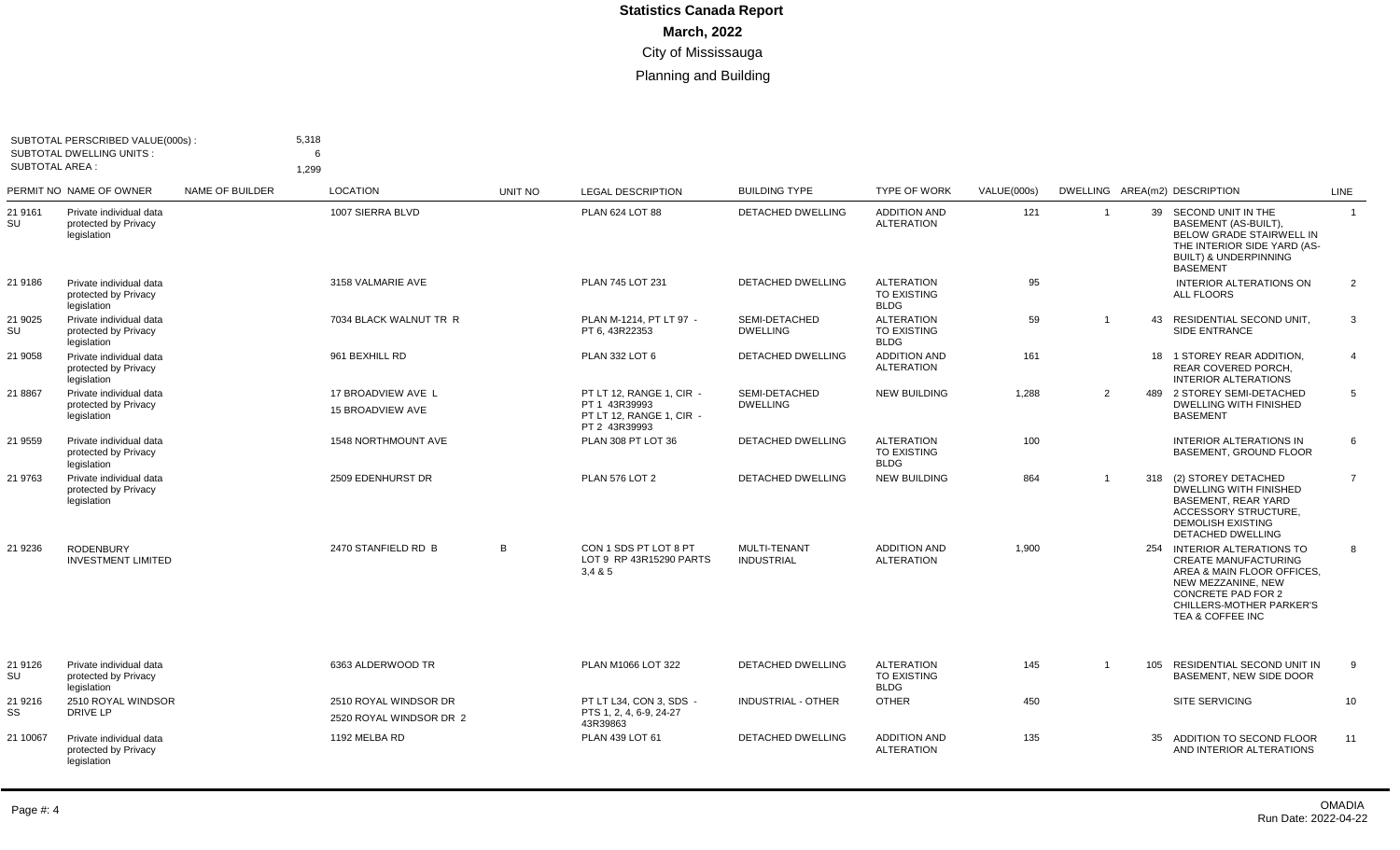| <b>SUBTOTAL AREA:</b> | SUBTOTAL PERSCRIBED VALUE(000s):<br><b>SUBTOTAL DWELLING UNITS:</b> |                 | 5,318<br>6<br>1,299                           |         |                                                                                        |                                   |                                                        |             |                |     |                                                                                                                                                                                      |                |
|-----------------------|---------------------------------------------------------------------|-----------------|-----------------------------------------------|---------|----------------------------------------------------------------------------------------|-----------------------------------|--------------------------------------------------------|-------------|----------------|-----|--------------------------------------------------------------------------------------------------------------------------------------------------------------------------------------|----------------|
|                       | PERMIT NO NAME OF OWNER                                             | NAME OF BUILDER | <b>LOCATION</b>                               | UNIT NO | <b>LEGAL DESCRIPTION</b>                                                               | <b>BUILDING TYPE</b>              | <b>TYPE OF WORK</b>                                    | VALUE(000s) |                |     | DWELLING AREA(m2) DESCRIPTION                                                                                                                                                        | <b>LINE</b>    |
| 21 9161<br>SU         | Private individual data<br>protected by Privacy<br>legislation      |                 | 1007 SIERRA BLVD                              |         | PLAN 624 LOT 88                                                                        | <b>DETACHED DWELLING</b>          | <b>ADDITION AND</b><br><b>ALTERATION</b>               | 121         |                |     | 39 SECOND UNIT IN THE<br>BASEMENT (AS-BUILT).<br><b>BELOW GRADE STAIRWELL IN</b><br>THE INTERIOR SIDE YARD (AS-<br><b>BUILT) &amp; UNDERPINNING</b><br><b>BASEMENT</b>               | $\overline{1}$ |
| 21 9186               | Private individual data<br>protected by Privacy<br>legislation      |                 | 3158 VALMARIE AVE                             |         | PLAN 745 LOT 231                                                                       | DETACHED DWELLING                 | <b>ALTERATION</b><br>TO EXISTING<br><b>BLDG</b>        | 95          |                |     | INTERIOR ALTERATIONS ON<br>ALL FLOORS                                                                                                                                                | $\overline{2}$ |
| 21 9025<br>SU         | Private individual data<br>protected by Privacy<br>legislation      |                 | 7034 BLACK WALNUT TR R                        |         | PLAN M-1214. PT LT 97 -<br>PT 6, 43R22353                                              | SEMI-DETACHED<br><b>DWELLING</b>  | <b>ALTERATION</b><br>TO EXISTING<br><b>BLDG</b>        | 59          | $\overline{1}$ | 43  | RESIDENTIAL SECOND UNIT.<br>SIDE ENTRANCE                                                                                                                                            | 3              |
| 21 9058               | Private individual data<br>protected by Privacy<br>legislation      |                 | 961 BEXHILL RD                                |         | PLAN 332 LOT 6                                                                         | <b>DETACHED DWELLING</b>          | <b>ADDITION AND</b><br><b>ALTERATION</b>               | 161         |                |     | 18 1 STOREY REAR ADDITION.<br><b>REAR COVERED PORCH.</b><br><b>INTERIOR ALTERATIONS</b>                                                                                              | $\overline{4}$ |
| 21 8867               | Private individual data<br>protected by Privacy<br>legislation      |                 | 17 BROADVIEW AVE L<br><b>15 BROADVIEW AVE</b> |         | PT LT 12, RANGE 1, CIR -<br>PT 1 43R39993<br>PT LT 12, RANGE 1, CIR -<br>PT 2 43R39993 | SEMI-DETACHED<br><b>DWELLING</b>  | <b>NEW BUILDING</b>                                    | 1,288       | $\overline{2}$ |     | 489 2 STOREY SEMI-DETACHED<br><b>DWELLING WITH FINISHED</b><br><b>BASEMENT</b>                                                                                                       | 5              |
| 21 9559               | Private individual data<br>protected by Privacy<br>legislation      |                 | <b>1548 NORTHMOUNT AVE</b>                    |         | PLAN 308 PT LOT 36                                                                     | <b>DETACHED DWELLING</b>          | <b>ALTERATION</b><br>TO EXISTING<br><b>BLDG</b>        | 100         |                |     | <b>INTERIOR ALTERATIONS IN</b><br><b>BASEMENT, GROUND FLOOR</b>                                                                                                                      | 6              |
| 21 9763               | Private individual data<br>protected by Privacy<br>legislation      |                 | 2509 EDENHURST DR                             |         | <b>PLAN 576 LOT 2</b>                                                                  | DETACHED DWELLING                 | <b>NEW BUILDING</b>                                    | 864         | $\overline{1}$ |     | 318 (2) STOREY DETACHED<br><b>DWELLING WITH FINISHED</b><br><b>BASEMENT, REAR YARD</b><br>ACCESSORY STRUCTURE,<br><b>DEMOLISH EXISTING</b><br>DETACHED DWELLING                      | $\overline{7}$ |
| 21 9236               | <b>RODENBURY</b><br><b>INVESTMENT LIMITED</b>                       |                 | 2470 STANFIELD RD B                           | В       | CON 1 SDS PT LOT 8 PT<br>LOT 9 RP 43R15290 PARTS<br>3,485                              | MULTI-TENANT<br><b>INDUSTRIAL</b> | <b>ADDITION AND</b><br><b>ALTERATION</b>               | 1,900       |                |     | 254 INTERIOR ALTERATIONS TO<br><b>CREATE MANUFACTURING</b><br>AREA & MAIN FLOOR OFFICES.<br>NEW MEZZANINE, NEW<br>CONCRETE PAD FOR 2<br>CHILLERS-MOTHER PARKER'S<br>TEA & COFFEE INC | 8              |
| 21 9126<br>SU         | Private individual data<br>protected by Privacy<br>legislation      |                 | 6363 ALDERWOOD TR                             |         | PLAN M1066 LOT 322                                                                     | DETACHED DWELLING                 | <b>ALTERATION</b><br><b>TO EXISTING</b><br><b>BLDG</b> | 145         | $\mathbf 1$    | 105 | RESIDENTIAL SECOND UNIT IN<br><b>BASEMENT, NEW SIDE DOOR</b>                                                                                                                         | 9              |
| 21 9216               | 2510 ROYAL WINDSOR                                                  |                 | 2510 ROYAL WINDSOR DR                         |         | PT LT L34. CON 3. SDS -                                                                | <b>INDUSTRIAL - OTHER</b>         | <b>OTHER</b>                                           | 450         |                |     | <b>SITE SERVICING</b>                                                                                                                                                                | 10             |
| SS                    | DRIVE LP                                                            |                 | 2520 ROYAL WINDSOR DR 2                       |         | PTS 1, 2, 4, 6-9, 24-27<br>43R39863                                                    |                                   |                                                        |             |                |     |                                                                                                                                                                                      |                |
| 21 10067              | Private individual data<br>protected by Privacy<br>legislation      |                 | 1192 MELBA RD                                 |         | PLAN 439 LOT 61                                                                        | DETACHED DWELLING                 | <b>ADDITION AND</b><br><b>ALTERATION</b>               | 135         |                | 35  | ADDITION TO SECOND FLOOR<br>AND INTERIOR ALTERATIONS                                                                                                                                 | 11             |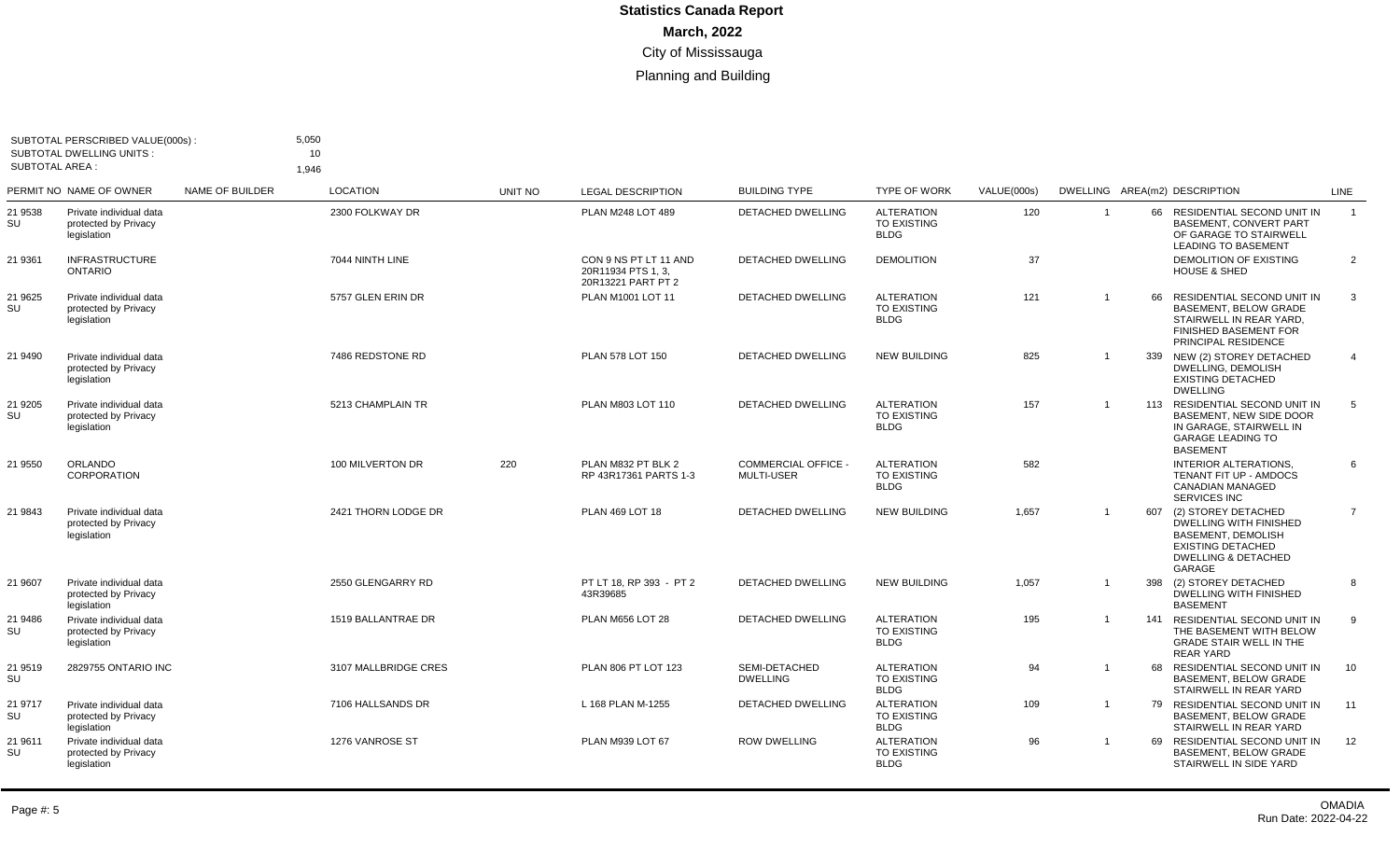| <b>SUBTOTAL AREA:</b> | SUBTOTAL PERSCRIBED VALUE(000s):<br><b>SUBTOTAL DWELLING UNITS:</b> |                 | 5,050<br>10<br>1.946 |         |                                                                   |                                                 |                                                        |             |                |                                                                                                                                                                  |                |
|-----------------------|---------------------------------------------------------------------|-----------------|----------------------|---------|-------------------------------------------------------------------|-------------------------------------------------|--------------------------------------------------------|-------------|----------------|------------------------------------------------------------------------------------------------------------------------------------------------------------------|----------------|
|                       | PERMIT NO NAME OF OWNER                                             | NAME OF BUILDER | <b>LOCATION</b>      | UNIT NO | <b>LEGAL DESCRIPTION</b>                                          | <b>BUILDING TYPE</b>                            | <b>TYPE OF WORK</b>                                    | VALUE(000s) |                | DWELLING AREA(m2) DESCRIPTION                                                                                                                                    | LINE           |
| 21 9538<br>SU         | Private individual data<br>protected by Privacy<br>legislation      |                 | 2300 FOLKWAY DR      |         | PLAN M248 LOT 489                                                 | <b>DETACHED DWELLING</b>                        | <b>ALTERATION</b><br>TO EXISTING<br><b>BLDG</b>        | 120         |                | 66 RESIDENTIAL SECOND UNIT IN<br><b>BASEMENT, CONVERT PART</b><br>OF GARAGE TO STAIRWELL<br><b>LEADING TO BASEMENT</b>                                           | $\overline{1}$ |
| 21 9361               | <b>INFRASTRUCTURE</b><br><b>ONTARIO</b>                             |                 | 7044 NINTH LINE      |         | CON 9 NS PT LT 11 AND<br>20R11934 PTS 1, 3,<br>20R13221 PART PT 2 | <b>DETACHED DWELLING</b>                        | <b>DEMOLITION</b>                                      | 37          |                | DEMOLITION OF EXISTING<br><b>HOUSE &amp; SHED</b>                                                                                                                | 2              |
| 21 9625<br>SU         | Private individual data<br>protected by Privacy<br>legislation      |                 | 5757 GLEN ERIN DR    |         | PLAN M1001 LOT 11                                                 | <b>DETACHED DWELLING</b>                        | <b>ALTERATION</b><br><b>TO EXISTING</b><br><b>BLDG</b> | 121         | $\overline{1}$ | 66<br>RESIDENTIAL SECOND UNIT IN<br><b>BASEMENT, BELOW GRADE</b><br>STAIRWELL IN REAR YARD,<br>FINISHED BASEMENT FOR<br>PRINCIPAL RESIDENCE                      | $\mathbf{3}$   |
| 21 9490               | Private individual data<br>protected by Privacy<br>legislation      |                 | 7486 REDSTONE RD     |         | PLAN 578 LOT 150                                                  | <b>DETACHED DWELLING</b>                        | <b>NEW BUILDING</b>                                    | 825         |                | 339 NEW (2) STOREY DETACHED<br>DWELLING, DEMOLISH<br><b>EXISTING DETACHED</b><br><b>DWELLING</b>                                                                 | $\overline{4}$ |
| 21 9205<br>SU         | Private individual data<br>protected by Privacy<br>legislation      |                 | 5213 CHAMPLAIN TR    |         | PLAN M803 LOT 110                                                 | <b>DETACHED DWELLING</b>                        | <b>ALTERATION</b><br><b>TO EXISTING</b><br><b>BLDG</b> | 157         | $\overline{1}$ | 113 RESIDENTIAL SECOND UNIT IN<br>BASEMENT. NEW SIDE DOOR<br>IN GARAGE. STAIRWELL IN<br><b>GARAGE LEADING TO</b><br><b>BASEMENT</b>                              | 5              |
| 21 9550               | <b>ORLANDO</b><br><b>CORPORATION</b>                                |                 | 100 MILVERTON DR     | 220     | PLAN M832 PT BLK 2<br>RP 43R17361 PARTS 1-3                       | <b>COMMERCIAL OFFICE -</b><br><b>MULTI-USER</b> | <b>ALTERATION</b><br><b>TO EXISTING</b><br><b>BLDG</b> | 582         |                | <b>INTERIOR ALTERATIONS.</b><br>TENANT FIT UP - AMDOCS<br><b>CANADIAN MANAGED</b><br><b>SERVICES INC</b>                                                         | 6              |
| 21 9843               | Private individual data<br>protected by Privacy<br>legislation      |                 | 2421 THORN LODGE DR  |         | PLAN 469 LOT 18                                                   | <b>DETACHED DWELLING</b>                        | <b>NEW BUILDING</b>                                    | 1,657       |                | 607<br>(2) STOREY DETACHED<br><b>DWELLING WITH FINISHED</b><br><b>BASEMENT, DEMOLISH</b><br><b>EXISTING DETACHED</b><br><b>DWELLING &amp; DETACHED</b><br>GARAGE | $\overline{7}$ |
| 21 9607               | Private individual data<br>protected by Privacy<br>legislation      |                 | 2550 GLENGARRY RD    |         | PT LT 18, RP 393 - PT 2<br>43R39685                               | DETACHED DWELLING                               | <b>NEW BUILDING</b>                                    | 1,057       |                | 398<br>(2) STOREY DETACHED<br><b>DWELLING WITH FINISHED</b><br><b>BASEMENT</b>                                                                                   | 8              |
| 21 9486<br>SU         | Private individual data<br>protected by Privacy<br>legislation      |                 | 1519 BALLANTRAE DR   |         | PLAN M656 LOT 28                                                  | <b>DETACHED DWELLING</b>                        | <b>ALTERATION</b><br><b>TO EXISTING</b><br><b>BLDG</b> | 195         |                | 141 RESIDENTIAL SECOND UNIT IN<br>THE BASEMENT WITH BELOW<br><b>GRADE STAIR WELL IN THE</b><br><b>REAR YARD</b>                                                  | 9              |
| 21 9519<br>SU         | 2829755 ONTARIO INC                                                 |                 | 3107 MALLBRIDGE CRES |         | PLAN 806 PT LOT 123                                               | SEMI-DETACHED<br><b>DWELLING</b>                | <b>ALTERATION</b><br><b>TO EXISTING</b><br><b>BLDG</b> | 94          |                | 68 RESIDENTIAL SECOND UNIT IN<br><b>BASEMENT, BELOW GRADE</b><br>STAIRWELL IN REAR YARD                                                                          | 10             |
| 21 9717<br>SU         | Private individual data<br>protected by Privacy<br>legislation      |                 | 7106 HALLSANDS DR    |         | L 168 PLAN M-1255                                                 | <b>DETACHED DWELLING</b>                        | <b>ALTERATION</b><br><b>TO EXISTING</b><br><b>BLDG</b> | 109         |                | 79 RESIDENTIAL SECOND UNIT IN<br><b>BASEMENT, BELOW GRADE</b><br>STAIRWELL IN REAR YARD                                                                          | 11             |
| 21 9611<br>SU         | Private individual data<br>protected by Privacy<br>legislation      |                 | 1276 VANROSE ST      |         | PLAN M939 LOT 67                                                  | <b>ROW DWELLING</b>                             | <b>ALTERATION</b><br><b>TO EXISTING</b><br><b>BLDG</b> | 96          |                | RESIDENTIAL SECOND UNIT IN<br>69<br><b>BASEMENT, BELOW GRADE</b><br>STAIRWELL IN SIDE YARD                                                                       | 12             |
|                       |                                                                     |                 |                      |         |                                                                   |                                                 |                                                        |             |                |                                                                                                                                                                  |                |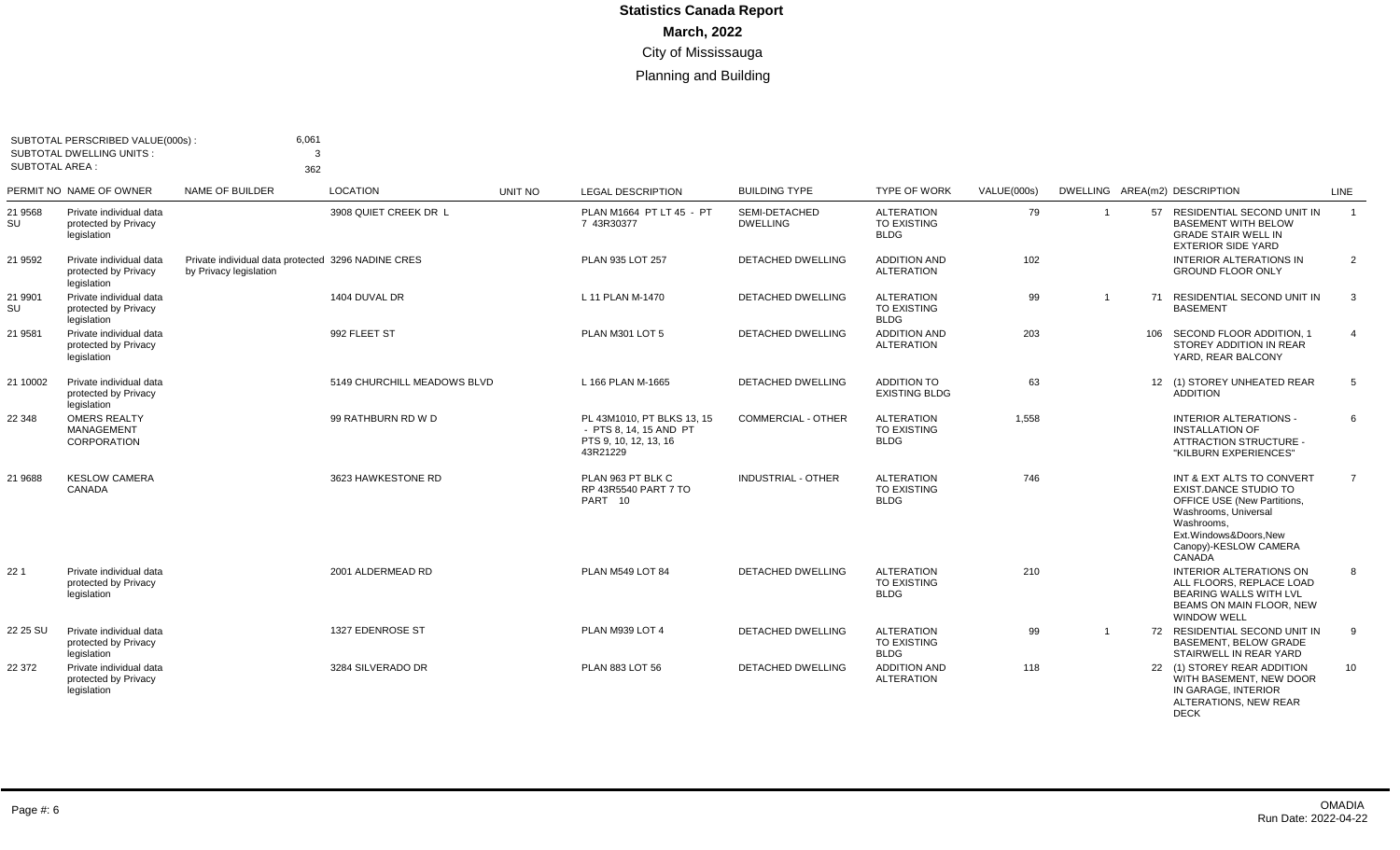| SUBTOTAL AREA : | SUBTOTAL PERSCRIBED VALUE(000s):<br><b>SUBTOTAL DWELLING UNITS:</b> | 6,061<br>3<br>362                                                            |                             |         |                                                                                           |                                  |                                                        |             |                         |                                                                                                                                                                                            |                 |
|-----------------|---------------------------------------------------------------------|------------------------------------------------------------------------------|-----------------------------|---------|-------------------------------------------------------------------------------------------|----------------------------------|--------------------------------------------------------|-------------|-------------------------|--------------------------------------------------------------------------------------------------------------------------------------------------------------------------------------------|-----------------|
|                 | PERMIT NO NAME OF OWNER                                             | <b>NAME OF BUILDER</b>                                                       | <b>LOCATION</b>             | UNIT NO | <b>LEGAL DESCRIPTION</b>                                                                  | <b>BUILDING TYPE</b>             | <b>TYPE OF WORK</b>                                    | VALUE(000s) |                         | DWELLING AREA(m2) DESCRIPTION                                                                                                                                                              | <b>LINE</b>     |
| 21 9568<br>SU   | Private individual data<br>protected by Privacy<br>legislation      |                                                                              | 3908 QUIET CREEK DR L       |         | PLAN M1664 PT LT 45 - PT<br>7 43R30377                                                    | SEMI-DETACHED<br><b>DWELLING</b> | <b>ALTERATION</b><br><b>TO EXISTING</b><br><b>BLDG</b> | 79          | $\overline{\mathbf{1}}$ | 57 RESIDENTIAL SECOND UNIT IN<br><b>BASEMENT WITH BELOW</b><br><b>GRADE STAIR WELL IN</b><br><b>EXTERIOR SIDE YARD</b>                                                                     | $\overline{1}$  |
| 21 9592         | Private individual data<br>protected by Privacy<br>legislation      | Private individual data protected 3296 NADINE CRES<br>by Privacy legislation |                             |         | PLAN 935 LOT 257                                                                          | <b>DETACHED DWELLING</b>         | <b>ADDITION AND</b><br><b>ALTERATION</b>               | 102         |                         | <b>INTERIOR ALTERATIONS IN</b><br><b>GROUND FLOOR ONLY</b>                                                                                                                                 | 2               |
| 21 9901<br>SU   | Private individual data<br>protected by Privacy<br>legislation      |                                                                              | 1404 DUVAL DR               |         | L 11 PLAN M-1470                                                                          | <b>DETACHED DWELLING</b>         | <b>ALTERATION</b><br><b>TO EXISTING</b><br><b>BLDG</b> | 99          |                         | 71 RESIDENTIAL SECOND UNIT IN<br><b>BASEMENT</b>                                                                                                                                           | 3               |
| 21 9581         | Private individual data<br>protected by Privacy<br>legislation      |                                                                              | 992 FLEET ST                |         | PLAN M301 LOT 5                                                                           | <b>DETACHED DWELLING</b>         | <b>ADDITION AND</b><br><b>ALTERATION</b>               | 203         |                         | 106 SECOND FLOOR ADDITION. 1<br>STOREY ADDITION IN REAR<br>YARD, REAR BALCONY                                                                                                              | $\overline{4}$  |
| 21 10002        | Private individual data<br>protected by Privacy<br>legislation      |                                                                              | 5149 CHURCHILL MEADOWS BLVD |         | L 166 PLAN M-1665                                                                         | <b>DETACHED DWELLING</b>         | ADDITION TO<br><b>EXISTING BLDG</b>                    | 63          |                         | 12 (1) STOREY UNHEATED REAR<br><b>ADDITION</b>                                                                                                                                             | 5               |
| 22 348          | <b>OMERS REALTY</b><br>MANAGEMENT<br>CORPORATION                    |                                                                              | 99 RATHBURN RD W D          |         | PL 43M1010. PT BLKS 13, 15<br>- PTS 8. 14. 15 AND PT<br>PTS 9, 10, 12, 13, 16<br>43R21229 | <b>COMMERCIAL - OTHER</b>        | <b>ALTERATION</b><br><b>TO EXISTING</b><br><b>BLDG</b> | 1.558       |                         | <b>INTERIOR ALTERATIONS -</b><br><b>INSTALLATION OF</b><br>ATTRACTION STRUCTURE -<br>"KILBURN EXPERIENCES"                                                                                 | 6               |
| 21 9688         | <b>KESLOW CAMERA</b><br>CANADA                                      |                                                                              | 3623 HAWKESTONE RD          |         | PLAN 963 PT BLK C<br>RP 43R5540 PART 7 TO<br>PART 10                                      | <b>INDUSTRIAL - OTHER</b>        | <b>ALTERATION</b><br><b>TO EXISTING</b><br><b>BLDG</b> | 746         |                         | INT & EXT ALTS TO CONVERT<br>EXIST DANCE STUDIO TO<br><b>OFFICE USE (New Partitions,</b><br>Washrooms, Universal<br>Washrooms.<br>Ext.Windows&Doors,New<br>Canopy)-KESLOW CAMERA<br>CANADA | $\overline{7}$  |
| 22 1            | Private individual data<br>protected by Privacy<br>legislation      |                                                                              | 2001 ALDERMEAD RD           |         | PLAN M549 LOT 84                                                                          | <b>DETACHED DWELLING</b>         | <b>ALTERATION</b><br><b>TO EXISTING</b><br><b>BLDG</b> | 210         |                         | <b>INTERIOR ALTERATIONS ON</b><br>ALL FLOORS. REPLACE LOAD<br>BEARING WALLS WITH LVL<br><b>BEAMS ON MAIN FLOOR. NEW</b><br><b>WINDOW WELL</b>                                              | 8               |
| 22 25 SU        | Private individual data<br>protected by Privacy<br>legislation      |                                                                              | 1327 EDENROSE ST            |         | PLAN M939 LOT 4                                                                           | <b>DETACHED DWELLING</b>         | <b>ALTERATION</b><br>TO EXISTING<br><b>BLDG</b>        | 99          |                         | 72 RESIDENTIAL SECOND UNIT IN<br><b>BASEMENT, BELOW GRADE</b><br>STAIRWELL IN REAR YARD                                                                                                    | 9               |
| 22 372          | Private individual data<br>protected by Privacy<br>legislation      |                                                                              | 3284 SILVERADO DR           |         | PLAN 883 LOT 56                                                                           | DETACHED DWELLING                | <b>ADDITION AND</b><br><b>ALTERATION</b>               | 118         |                         | 22 (1) STOREY REAR ADDITION<br>WITH BASEMENT, NEW DOOR<br>IN GARAGE, INTERIOR<br>ALTERATIONS, NEW REAR<br><b>DECK</b>                                                                      | 10 <sup>°</sup> |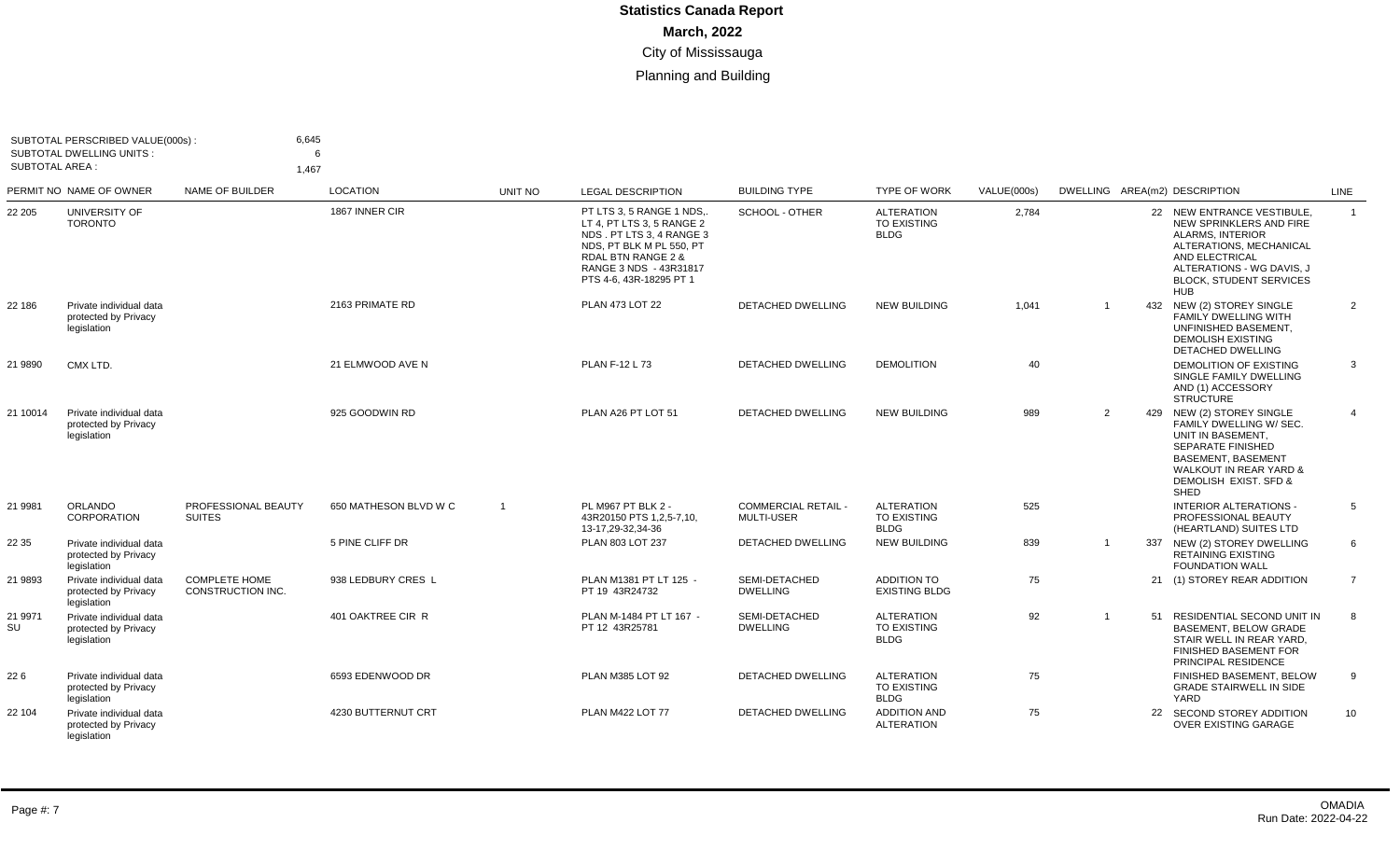| SUBTOTAL AREA : | SUBTOTAL PERSCRIBED VALUE(000s) :<br><b>SUBTOTAL DWELLING UNITS:</b> | 6,645<br>1.467                            | 6                     |                |                                                                                                                                                                                                      |                                                 |                                                        |             |                |                                                                                                                                                                                                            |                |
|-----------------|----------------------------------------------------------------------|-------------------------------------------|-----------------------|----------------|------------------------------------------------------------------------------------------------------------------------------------------------------------------------------------------------------|-------------------------------------------------|--------------------------------------------------------|-------------|----------------|------------------------------------------------------------------------------------------------------------------------------------------------------------------------------------------------------------|----------------|
|                 | PERMIT NO NAME OF OWNER                                              | NAME OF BUILDER                           | <b>LOCATION</b>       | UNIT NO        | <b>LEGAL DESCRIPTION</b>                                                                                                                                                                             | <b>BUILDING TYPE</b>                            | <b>TYPE OF WORK</b>                                    | VALUE(000s) |                | DWELLING AREA(m2) DESCRIPTION                                                                                                                                                                              | LINE           |
| 22 205          | UNIVERSITY OF<br><b>TORONTO</b>                                      |                                           | 1867 INNER CIR        |                | PT LTS 3, 5 RANGE 1 NDS,<br>LT 4, PT LTS 3, 5 RANGE 2<br>NDS . PT LTS 3, 4 RANGE 3<br>NDS, PT BLK M PL 550, PT<br><b>RDAL BTN RANGE 2 &amp;</b><br>RANGE 3 NDS - 43R31817<br>PTS 4-6, 43R-18295 PT 1 | SCHOOL - OTHER                                  | <b>ALTERATION</b><br><b>TO EXISTING</b><br><b>BLDG</b> | 2,784       |                | 22 NEW ENTRANCE VESTIBULE,<br>NEW SPRINKLERS AND FIRE<br>ALARMS, INTERIOR<br>ALTERATIONS, MECHANICAL<br><b>AND ELECTRICAL</b><br>ALTERATIONS - WG DAVIS, J<br><b>BLOCK, STUDENT SERVICES</b><br><b>HUB</b> | $\overline{1}$ |
| 22 186          | Private individual data<br>protected by Privacy<br>legislation       |                                           | 2163 PRIMATE RD       |                | PLAN 473 LOT 22                                                                                                                                                                                      | DETACHED DWELLING                               | <b>NEW BUILDING</b>                                    | 1,041       | $\overline{1}$ | 432 NEW (2) STOREY SINGLE<br>FAMILY DWELLING WITH<br>UNFINISHED BASEMENT.<br><b>DEMOLISH EXISTING</b><br>DETACHED DWELLING                                                                                 | 2              |
| 21 9890         | CMX LTD.                                                             |                                           | 21 ELMWOOD AVE N      |                | <b>PLAN F-12 L 73</b>                                                                                                                                                                                | <b>DETACHED DWELLING</b>                        | <b>DEMOLITION</b>                                      | 40          |                | <b>DEMOLITION OF EXISTING</b><br>SINGLE FAMILY DWELLING<br>AND (1) ACCESSORY<br><b>STRUCTURE</b>                                                                                                           | 3              |
| 21 10014        | Private individual data<br>protected by Privacy<br>legislation       |                                           | 925 GOODWIN RD        |                | PLAN A26 PT LOT 51                                                                                                                                                                                   | <b>DETACHED DWELLING</b>                        | <b>NEW BUILDING</b>                                    | 989         | 2              | 429 NEW (2) STOREY SINGLE<br>FAMILY DWELLING W/ SEC.<br>UNIT IN BASEMENT.<br><b>SEPARATE FINISHED</b><br><b>BASEMENT, BASEMENT</b><br><b>WALKOUT IN REAR YARD &amp;</b><br>DEMOLISH EXIST. SFD &<br>SHED   | $\overline{4}$ |
| 21 9981         | ORLANDO<br>CORPORATION                                               | PROFESSIONAL BEAUTY<br><b>SUITES</b>      | 650 MATHESON BLVD W C | $\overline{1}$ | PL M967 PT BLK 2 -<br>43R20150 PTS 1,2,5-7,10,<br>13-17.29-32.34-36                                                                                                                                  | <b>COMMERCIAL RETAIL -</b><br><b>MULTI-USER</b> | <b>ALTERATION</b><br><b>TO EXISTING</b><br><b>BLDG</b> | 525         |                | <b>INTERIOR ALTERATIONS -</b><br>PROFESSIONAL BEAUTY<br>(HEARTLAND) SUITES LTD                                                                                                                             | 5              |
| 22 35           | Private individual data<br>protected by Privacy<br>legislation       |                                           | 5 PINE CLIFF DR       |                | PLAN 803 LOT 237                                                                                                                                                                                     | <b>DETACHED DWELLING</b>                        | <b>NEW BUILDING</b>                                    | 839         | -1             | 337 NEW (2) STOREY DWELLING<br><b>RETAINING EXISTING</b><br><b>FOUNDATION WALL</b>                                                                                                                         | 6              |
| 21 9893         | Private individual data<br>protected by Privacy<br>legislation       | <b>COMPLETE HOME</b><br>CONSTRUCTION INC. | 938 LEDBURY CRES L    |                | PLAN M1381 PT LT 125 -<br>PT 19 43R24732                                                                                                                                                             | SEMI-DETACHED<br><b>DWELLING</b>                | <b>ADDITION TO</b><br><b>EXISTING BLDG</b>             | 75          |                | 21 (1) STOREY REAR ADDITION                                                                                                                                                                                | $\overline{7}$ |
| 21 9971<br>SU   | Private individual data<br>protected by Privacy<br>legislation       |                                           | 401 OAKTREE CIR R     |                | PLAN M-1484 PT LT 167 -<br>PT 12 43R25781                                                                                                                                                            | SEMI-DETACHED<br><b>DWELLING</b>                | <b>ALTERATION</b><br><b>TO EXISTING</b><br><b>BLDG</b> | 92          |                | 51 RESIDENTIAL SECOND UNIT IN<br><b>BASEMENT, BELOW GRADE</b><br>STAIR WELL IN REAR YARD,<br><b>FINISHED BASEMENT FOR</b><br>PRINCIPAL RESIDENCE                                                           | 8              |
| 226             | Private individual data<br>protected by Privacy<br>legislation       |                                           | 6593 EDENWOOD DR      |                | <b>PLAN M385 LOT 92</b>                                                                                                                                                                              | <b>DETACHED DWELLING</b>                        | <b>ALTERATION</b><br><b>TO EXISTING</b><br><b>BLDG</b> | 75          |                | FINISHED BASEMENT, BELOW<br><b>GRADE STAIRWELL IN SIDE</b><br>YARD                                                                                                                                         | 9              |
| 22 104          | Private individual data<br>protected by Privacy<br>legislation       |                                           | 4230 BUTTERNUT CRT    |                | PLAN M422 LOT 77                                                                                                                                                                                     | <b>DETACHED DWELLING</b>                        | <b>ADDITION AND</b><br><b>ALTERATION</b>               | 75          |                | 22 SECOND STOREY ADDITION<br><b>OVER EXISTING GARAGE</b>                                                                                                                                                   | 10             |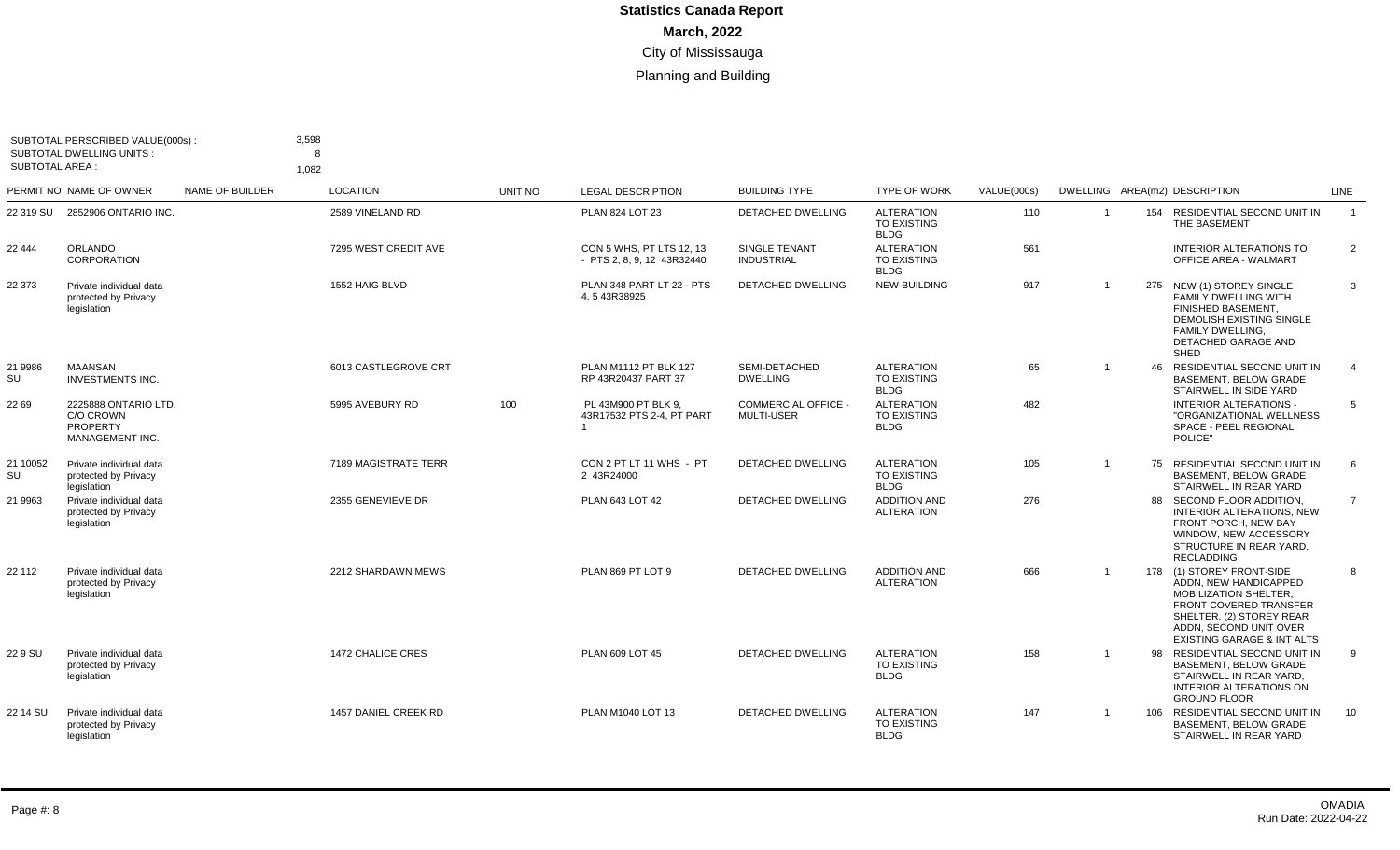| <b>SUBTOTAL AREA:</b> | SUBTOTAL PERSCRIBED VALUE(000s):<br><b>SUBTOTAL DWELLING UNITS:</b>     |                        | 3,598<br>8<br>1,082  |         |                                                        |                                                 |                                                        |             |                         |                                                                                                                                                                                                             |                 |
|-----------------------|-------------------------------------------------------------------------|------------------------|----------------------|---------|--------------------------------------------------------|-------------------------------------------------|--------------------------------------------------------|-------------|-------------------------|-------------------------------------------------------------------------------------------------------------------------------------------------------------------------------------------------------------|-----------------|
|                       | PERMIT NO NAME OF OWNER                                                 | <b>NAME OF BUILDER</b> | <b>LOCATION</b>      | UNIT NO | <b>LEGAL DESCRIPTION</b>                               | <b>BUILDING TYPE</b>                            | <b>TYPE OF WORK</b>                                    | VALUE(000s) |                         | DWELLING AREA(m2) DESCRIPTION                                                                                                                                                                               | LINE            |
|                       | 22 319 SU 2852906 ONTARIO INC.                                          |                        | 2589 VINELAND RD     |         | PLAN 824 LOT 23                                        | DETACHED DWELLING                               | <b>ALTERATION</b><br><b>TO EXISTING</b><br><b>BLDG</b> | 110         | $\overline{1}$          | 154 RESIDENTIAL SECOND UNIT IN<br>THE BASEMENT                                                                                                                                                              | $\overline{1}$  |
| 22 444                | <b>ORLANDO</b><br><b>CORPORATION</b>                                    |                        | 7295 WEST CREDIT AVE |         | CON 5 WHS. PT LTS 12, 13<br>- PTS 2, 8, 9, 12 43R32440 | SINGLE TENANT<br><b>INDUSTRIAL</b>              | <b>ALTERATION</b><br><b>TO EXISTING</b><br><b>BLDG</b> | 561         |                         | <b>INTERIOR ALTERATIONS TO</b><br><b>OFFICE AREA - WALMART</b>                                                                                                                                              | $\overline{2}$  |
| 22 373                | Private individual data<br>protected by Privacy<br>legislation          |                        | 1552 HAIG BLVD       |         | PLAN 348 PART LT 22 - PTS<br>4.543R38925               | DETACHED DWELLING                               | <b>NEW BUILDING</b>                                    | 917         | $\overline{\mathbf{1}}$ | 275 NEW (1) STOREY SINGLE<br><b>FAMILY DWELLING WITH</b><br>FINISHED BASEMENT.<br><b>DEMOLISH EXISTING SINGLE</b><br><b>FAMILY DWELLING.</b><br>DETACHED GARAGE AND<br>SHED                                 | 3               |
| 21 9986<br>SU         | <b>MAANSAN</b><br><b>INVESTMENTS INC.</b>                               |                        | 6013 CASTLEGROVE CRT |         | PLAN M1112 PT BLK 127<br>RP 43R20437 PART 37           | SEMI-DETACHED<br><b>DWELLING</b>                | <b>ALTERATION</b><br><b>TO EXISTING</b><br><b>BLDG</b> | 65          |                         | 46 RESIDENTIAL SECOND UNIT IN<br><b>BASEMENT, BELOW GRADE</b><br>STAIRWELL IN SIDE YARD                                                                                                                     | $\overline{4}$  |
| 22 69                 | 2225888 ONTARIO LTD.<br>C/O CROWN<br><b>PROPERTY</b><br>MANAGEMENT INC. |                        | 5995 AVEBURY RD      | 100     | PL 43M900 PT BLK 9,<br>43R17532 PTS 2-4. PT PART       | <b>COMMERCIAL OFFICE -</b><br><b>MULTI-USER</b> | <b>ALTERATION</b><br>TO EXISTING<br><b>BLDG</b>        | 482         |                         | <b>INTERIOR ALTERATIONS -</b><br>"ORGANIZATIONAL WELLNESS<br><b>SPACE - PEEL REGIONAL</b><br>POLICE"                                                                                                        | $5\overline{)}$ |
| 21 10052<br>SU        | Private individual data<br>protected by Privacy<br>legislation          |                        | 7189 MAGISTRATE TERR |         | CON 2 PT LT 11 WHS - PT<br>2 43R24000                  | DETACHED DWELLING                               | <b>ALTERATION</b><br><b>TO EXISTING</b><br><b>BLDG</b> | 105         | $\overline{1}$          | 75 RESIDENTIAL SECOND UNIT IN<br>BASEMENT, BELOW GRADE<br>STAIRWELL IN REAR YARD                                                                                                                            | 6               |
| 21 9963               | Private individual data<br>protected by Privacy<br>legislation          |                        | 2355 GENEVIEVE DR    |         | PLAN 643 LOT 42                                        | DETACHED DWELLING                               | <b>ADDITION AND</b><br><b>ALTERATION</b>               | 276         |                         | 88 SECOND FLOOR ADDITION,<br><b>INTERIOR ALTERATIONS, NEW</b><br>FRONT PORCH, NEW BAY<br>WINDOW, NEW ACCESSORY<br>STRUCTURE IN REAR YARD,<br><b>RECLADDING</b>                                              | $\overline{7}$  |
| 22 112                | Private individual data<br>protected by Privacy<br>legislation          |                        | 2212 SHARDAWN MEWS   |         | PLAN 869 PT LOT 9                                      | DETACHED DWELLING                               | <b>ADDITION AND</b><br><b>ALTERATION</b>               | 666         | $\overline{1}$          | 178 (1) STOREY FRONT-SIDE<br>ADDN. NEW HANDICAPPED<br><b>MOBILIZATION SHELTER.</b><br>FRONT COVERED TRANSFER<br>SHELTER, (2) STOREY REAR<br>ADDN, SECOND UNIT OVER<br><b>EXISTING GARAGE &amp; INT ALTS</b> | 8               |
| 22 9 SU               | Private individual data<br>protected by Privacy<br>legislation          |                        | 1472 CHALICE CRES    |         | PLAN 609 LOT 45                                        | DETACHED DWELLING                               | <b>ALTERATION</b><br><b>TO EXISTING</b><br><b>BLDG</b> | 158         |                         | 98 RESIDENTIAL SECOND UNIT IN<br><b>BASEMENT, BELOW GRADE</b><br>STAIRWELL IN REAR YARD,<br>INTERIOR ALTERATIONS ON<br><b>GROUND FLOOR</b>                                                                  | 9               |
| 22 14 SU              | Private individual data<br>protected by Privacy<br>legislation          |                        | 1457 DANIEL CREEK RD |         | PLAN M1040 LOT 13                                      | <b>DETACHED DWELLING</b>                        | <b>ALTERATION</b><br><b>TO EXISTING</b><br><b>BLDG</b> | 147         |                         | 106 RESIDENTIAL SECOND UNIT IN<br><b>BASEMENT, BELOW GRADE</b><br>STAIRWELL IN REAR YARD                                                                                                                    | 10              |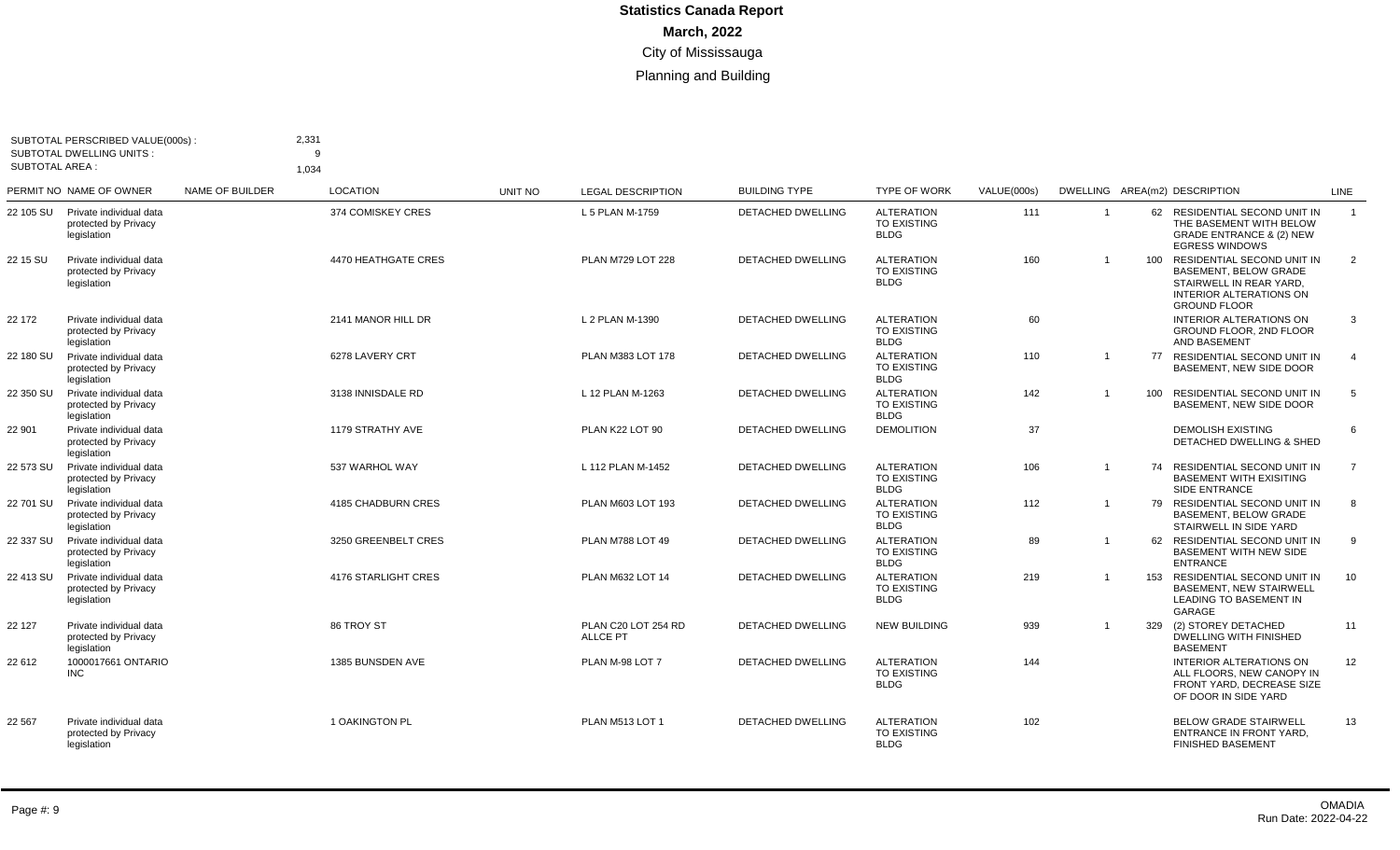| <b>SUBTOTAL AREA:</b> | SUBTOTAL PERSCRIBED VALUE(000s):<br><b>SUBTOTAL DWELLING UNITS:</b> |                        | 2,331<br>q<br>1,034 |         |                                        |                          |                                                        |             |                |     |                                                                                                                                                    |                 |
|-----------------------|---------------------------------------------------------------------|------------------------|---------------------|---------|----------------------------------------|--------------------------|--------------------------------------------------------|-------------|----------------|-----|----------------------------------------------------------------------------------------------------------------------------------------------------|-----------------|
|                       | PERMIT NO NAME OF OWNER                                             | <b>NAME OF BUILDER</b> | <b>LOCATION</b>     | UNIT NO | <b>LEGAL DESCRIPTION</b>               | <b>BUILDING TYPE</b>     | <b>TYPE OF WORK</b>                                    | VALUE(000s) |                |     | DWELLING AREA(m2) DESCRIPTION                                                                                                                      | <b>LINE</b>     |
| 22 105 SU             | Private individual data<br>protected by Privacy<br>legislation      |                        | 374 COMISKEY CRES   |         | L 5 PLAN M-1759                        | <b>DETACHED DWELLING</b> | <b>ALTERATION</b><br><b>TO EXISTING</b><br>BLDG        | 111         | -1             |     | 62 RESIDENTIAL SECOND UNIT IN<br>THE BASEMENT WITH BELOW<br><b>GRADE ENTRANCE &amp; (2) NEW</b><br><b>EGRESS WINDOWS</b>                           | $\overline{1}$  |
| 22 15 SU              | Private individual data<br>protected by Privacy<br>legislation      |                        | 4470 HEATHGATE CRES |         | PLAN M729 LOT 228                      | DETACHED DWELLING        | <b>ALTERATION</b><br><b>TO EXISTING</b><br><b>BLDG</b> | 160         | $\overline{1}$ |     | 100 RESIDENTIAL SECOND UNIT IN<br><b>BASEMENT, BELOW GRADE</b><br>STAIRWELL IN REAR YARD,<br><b>INTERIOR ALTERATIONS ON</b><br><b>GROUND FLOOR</b> | 2               |
| 22 172                | Private individual data<br>protected by Privacy<br>legislation      |                        | 2141 MANOR HILL DR  |         | L 2 PLAN M-1390                        | <b>DETACHED DWELLING</b> | <b>ALTERATION</b><br><b>TO EXISTING</b><br><b>BLDG</b> | 60          |                |     | <b>INTERIOR ALTERATIONS ON</b><br>GROUND FLOOR, 2ND FLOOR<br><b>AND BASEMENT</b>                                                                   | 3               |
| 22 180 SU             | Private individual data<br>protected by Privacy<br>legislation      |                        | 6278 LAVERY CRT     |         | PLAN M383 LOT 178                      | <b>DETACHED DWELLING</b> | <b>ALTERATION</b><br><b>TO EXISTING</b><br><b>BLDG</b> | 110         | $\overline{1}$ |     | 77 RESIDENTIAL SECOND UNIT IN<br>BASEMENT. NEW SIDE DOOR                                                                                           | $\overline{4}$  |
| 22 350 SU             | Private individual data<br>protected by Privacy<br>legislation      |                        | 3138 INNISDALE RD   |         | L 12 PLAN M-1263                       | <b>DETACHED DWELLING</b> | <b>ALTERATION</b><br><b>TO EXISTING</b><br><b>BLDG</b> | 142         | $\overline{1}$ | 100 | RESIDENTIAL SECOND UNIT IN<br>BASEMENT. NEW SIDE DOOR                                                                                              | 5               |
| 22 901                | Private individual data<br>protected by Privacy<br>legislation      |                        | 1179 STRATHY AVE    |         | PLAN K22 LOT 90                        | <b>DETACHED DWELLING</b> | <b>DEMOLITION</b>                                      | 37          |                |     | <b>DEMOLISH EXISTING</b><br>DETACHED DWELLING & SHED                                                                                               | 6               |
| 22 573 SU             | Private individual data<br>protected by Privacy<br>legislation      |                        | 537 WARHOL WAY      |         | L 112 PLAN M-1452                      | <b>DETACHED DWELLING</b> | <b>ALTERATION</b><br><b>TO EXISTING</b><br><b>BLDG</b> | 106         |                |     | 74 RESIDENTIAL SECOND UNIT IN<br><b>BASEMENT WITH EXISITING</b><br><b>SIDE ENTRANCE</b>                                                            | $\overline{7}$  |
| 22 701 SU             | Private individual data<br>protected by Privacy<br>legislation      |                        | 4185 CHADBURN CRES  |         | PLAN M603 LOT 193                      | <b>DETACHED DWELLING</b> | <b>ALTERATION</b><br><b>TO EXISTING</b><br><b>BLDG</b> | 112         | $\overline{1}$ |     | 79 RESIDENTIAL SECOND UNIT IN<br>BASEMENT, BELOW GRADE<br>STAIRWELL IN SIDE YARD                                                                   | 8               |
| 22 337 SU             | Private individual data<br>protected by Privacy<br>legislation      |                        | 3250 GREENBELT CRES |         | <b>PLAN M788 LOT 49</b>                | DETACHED DWELLING        | <b>ALTERATION</b><br><b>TO EXISTING</b><br><b>BLDG</b> | 89          | $\overline{1}$ |     | 62 RESIDENTIAL SECOND UNIT IN<br><b>BASEMENT WITH NEW SIDE</b><br><b>ENTRANCE</b>                                                                  | 9               |
| 22 413 SU             | Private individual data<br>protected by Privacy<br>legislation      |                        | 4176 STARLIGHT CRES |         | PLAN M632 LOT 14                       | DETACHED DWELLING        | <b>ALTERATION</b><br><b>TO EXISTING</b><br><b>BLDG</b> | 219         | $\overline{1}$ | 153 | RESIDENTIAL SECOND UNIT IN<br><b>BASEMENT, NEW STAIRWELL</b><br><b>LEADING TO BASEMENT IN</b><br>GARAGE                                            | 10              |
| 22 127                | Private individual data<br>protected by Privacy<br>legislation      |                        | 86 TROY ST          |         | PLAN C20 LOT 254 RD<br><b>ALLCE PT</b> | <b>DETACHED DWELLING</b> | <b>NEW BUILDING</b>                                    | 939         |                |     | 329 (2) STOREY DETACHED<br><b>DWELLING WITH FINISHED</b><br><b>BASEMENT</b>                                                                        | 11              |
| 22 612                | 1000017661 ONTARIO<br><b>INC</b>                                    |                        | 1385 BUNSDEN AVE    |         | PLAN M-98 LOT 7                        | <b>DETACHED DWELLING</b> | <b>ALTERATION</b><br><b>TO EXISTING</b><br><b>BLDG</b> | 144         |                |     | INTERIOR ALTERATIONS ON<br>ALL FLOORS. NEW CANOPY IN<br>FRONT YARD. DECREASE SIZE<br>OF DOOR IN SIDE YARD                                          | 12 <sup>2</sup> |
| 22 567                | Private individual data<br>protected by Privacy<br>legislation      |                        | 1 OAKINGTON PL      |         | PLAN M513 LOT 1                        | <b>DETACHED DWELLING</b> | <b>ALTERATION</b><br><b>TO EXISTING</b><br><b>BLDG</b> | 102         |                |     | <b>BELOW GRADE STAIRWELL</b><br><b>ENTRANCE IN FRONT YARD.</b><br><b>FINISHED BASEMENT</b>                                                         | 13              |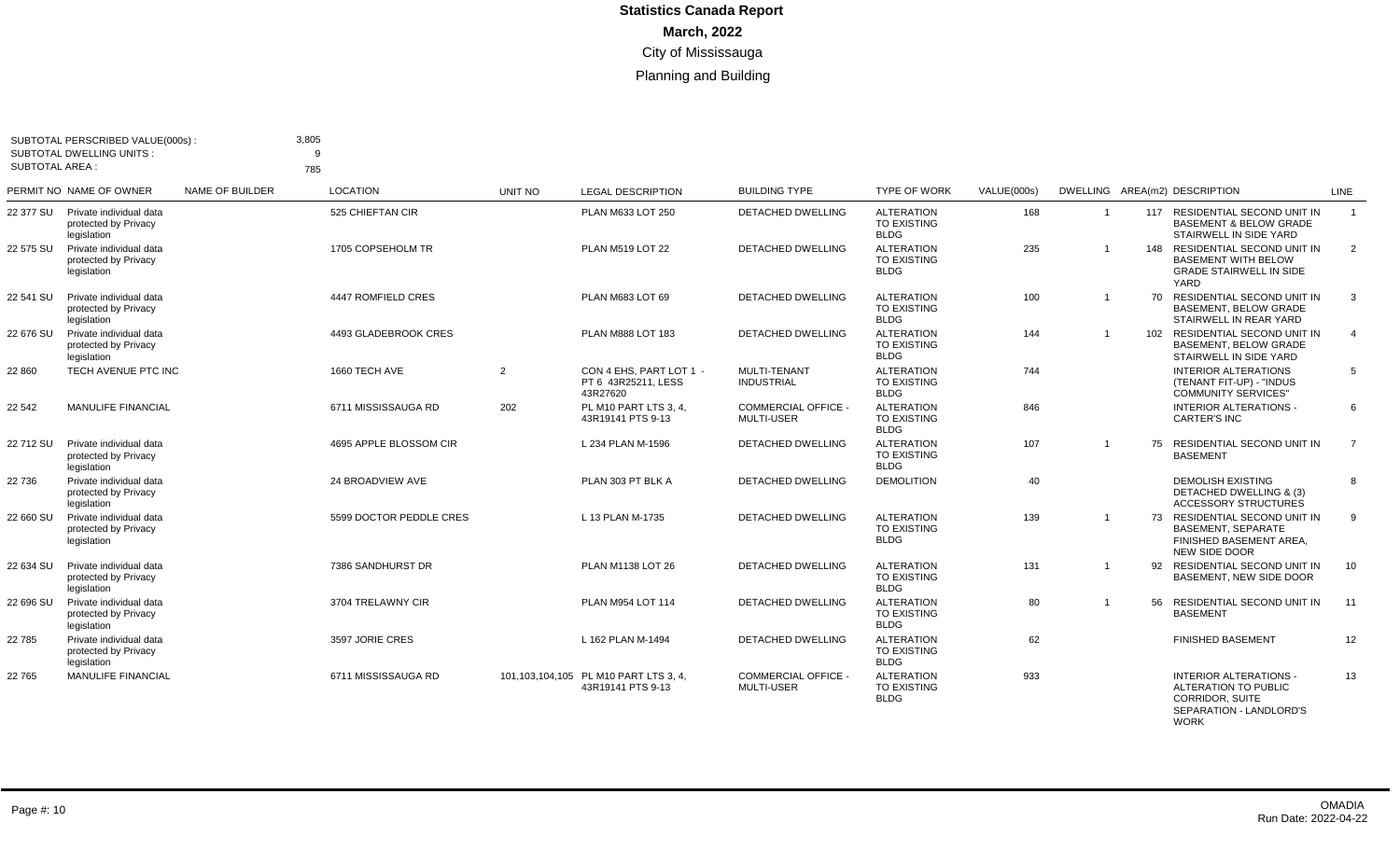| <b>SUBTOTAL AREA:</b> | SUBTOTAL PERSCRIBED VALUE(000s):<br><b>SUBTOTAL DWELLING UNITS:</b> |                 | 3,805<br>9<br>785       |                |                                                               |                                                 |                                                        |             |                |     |                                                                                                                           |                |
|-----------------------|---------------------------------------------------------------------|-----------------|-------------------------|----------------|---------------------------------------------------------------|-------------------------------------------------|--------------------------------------------------------|-------------|----------------|-----|---------------------------------------------------------------------------------------------------------------------------|----------------|
|                       | PERMIT NO NAME OF OWNER                                             | NAME OF BUILDER | <b>LOCATION</b>         | <b>UNIT NO</b> | <b>LEGAL DESCRIPTION</b>                                      | <b>BUILDING TYPE</b>                            | <b>TYPE OF WORK</b>                                    | VALUE(000s) |                |     | DWELLING AREA(m2) DESCRIPTION                                                                                             | LINE           |
| 22 377 SU             | Private individual data<br>protected by Privacy<br>legislation      |                 | 525 CHIEFTAN CIR        |                | PLAN M633 LOT 250                                             | DETACHED DWELLING                               | <b>ALTERATION</b><br><b>TO EXISTING</b><br><b>BLDG</b> | 168         | $\overline{1}$ |     | 117 RESIDENTIAL SECOND UNIT IN<br><b>BASEMENT &amp; BELOW GRADE</b><br>STAIRWELL IN SIDE YARD                             | $\overline{1}$ |
| 22 575 SU             | Private individual data<br>protected by Privacy<br>legislation      |                 | 1705 COPSEHOLM TR       |                | <b>PLAN M519 LOT 22</b>                                       | <b>DETACHED DWELLING</b>                        | <b>ALTERATION</b><br><b>TO EXISTING</b><br><b>BLDG</b> | 235         | $\mathbf 1$    | 148 | RESIDENTIAL SECOND UNIT IN<br><b>BASEMENT WITH BELOW</b><br><b>GRADE STAIRWELL IN SIDE</b><br>YARD                        | 2              |
| 22 541 SU             | Private individual data<br>protected by Privacy<br>legislation      |                 | 4447 ROMFIELD CRES      |                | PLAN M683 LOT 69                                              | <b>DETACHED DWELLING</b>                        | <b>ALTERATION</b><br><b>TO EXISTING</b><br><b>BLDG</b> | 100         | $\overline{1}$ | 70  | RESIDENTIAL SECOND UNIT IN<br><b>BASEMENT, BELOW GRADE</b><br>STAIRWELL IN REAR YARD                                      | 3              |
| 22 676 SU             | Private individual data<br>protected by Privacy<br>legislation      |                 | 4493 GLADEBROOK CRES    |                | PLAN M888 LOT 183                                             | <b>DETACHED DWELLING</b>                        | <b>ALTERATION</b><br>TO EXISTING<br><b>BLDG</b>        | 144         | -1             |     | 102 RESIDENTIAL SECOND UNIT IN<br><b>BASEMENT, BELOW GRADE</b><br>STAIRWELL IN SIDE YARD                                  | $\overline{4}$ |
| 22 860                | TECH AVENUE PTC INC                                                 |                 | 1660 TECH AVE           | 2              | CON 4 EHS. PART LOT 1 -<br>PT 6 43R25211, LESS<br>43R27620    | MULTI-TENANT<br><b>INDUSTRIAL</b>               | <b>ALTERATION</b><br>TO EXISTING<br><b>BLDG</b>        | 744         |                |     | <b>INTERIOR ALTERATIONS</b><br>(TENANT FIT-UP) - "INDUS<br><b>COMMUNITY SERVICES"</b>                                     | 5              |
| 22 542                | <b>MANULIFE FINANCIAL</b>                                           |                 | 6711 MISSISSAUGA RD     | 202            | PL M10 PART LTS 3, 4,<br>43R19141 PTS 9-13                    | COMMERCIAL OFFICE -<br><b>MULTI-USER</b>        | <b>ALTERATION</b><br>TO EXISTING<br><b>BLDG</b>        | 846         |                |     | <b>INTERIOR ALTERATIONS -</b><br><b>CARTER'S INC</b>                                                                      | 6              |
| 22 712 SU             | Private individual data<br>protected by Privacy<br>legislation      |                 | 4695 APPLE BLOSSOM CIR  |                | L 234 PLAN M-1596                                             | DETACHED DWELLING                               | <b>ALTERATION</b><br><b>TO EXISTING</b><br><b>BLDG</b> | 107         | $\overline{1}$ |     | 75 RESIDENTIAL SECOND UNIT IN<br><b>BASEMENT</b>                                                                          | $\overline{7}$ |
| 22 736                | Private individual data<br>protected by Privacy<br>legislation      |                 | 24 BROADVIEW AVE        |                | PLAN 303 PT BLK A                                             | <b>DETACHED DWELLING</b>                        | <b>DEMOLITION</b>                                      | 40          |                |     | <b>DEMOLISH EXISTING</b><br>DETACHED DWELLING & (3)<br><b>ACCESSORY STRUCTURES</b>                                        | 8              |
| 22 660 SU             | Private individual data<br>protected by Privacy<br>legislation      |                 | 5599 DOCTOR PEDDLE CRES |                | L 13 PLAN M-1735                                              | <b>DETACHED DWELLING</b>                        | <b>ALTERATION</b><br><b>TO EXISTING</b><br><b>BLDG</b> | 139         | $\overline{1}$ |     | 73 RESIDENTIAL SECOND UNIT IN<br><b>BASEMENT, SEPARATE</b><br>FINISHED BASEMENT AREA,<br>NEW SIDE DOOR                    | 9              |
| 22 634 SU             | Private individual data<br>protected by Privacy<br>legislation      |                 | 7386 SANDHURST DR       |                | PLAN M1138 LOT 26                                             | <b>DETACHED DWELLING</b>                        | <b>ALTERATION</b><br>TO EXISTING<br><b>BLDG</b>        | 131         | $\overline{1}$ |     | 92 RESIDENTIAL SECOND UNIT IN<br>BASEMENT, NEW SIDE DOOR                                                                  | 10             |
| 22 696 SU             | Private individual data<br>protected by Privacy<br>legislation      |                 | 3704 TRELAWNY CIR       |                | PLAN M954 LOT 114                                             | DETACHED DWELLING                               | <b>ALTERATION</b><br><b>TO EXISTING</b><br><b>BLDG</b> | 80          | $\overline{1}$ | 56  | RESIDENTIAL SECOND UNIT IN<br><b>BASEMENT</b>                                                                             | 11             |
| 22 785                | Private individual data<br>protected by Privacy<br>legislation      |                 | 3597 JORIE CRES         |                | L 162 PLAN M-1494                                             | DETACHED DWELLING                               | <b>ALTERATION</b><br><b>TO EXISTING</b><br><b>BLDG</b> | 62          |                |     | <b>FINISHED BASEMENT</b>                                                                                                  | 12             |
| 22 765                | <b>MANULIFE FINANCIAL</b>                                           |                 | 6711 MISSISSAUGA RD     |                | 101, 103, 104, 105 PL M10 PART LTS 3, 4,<br>43R19141 PTS 9-13 | <b>COMMERCIAL OFFICE -</b><br><b>MULTI-USER</b> | <b>ALTERATION</b><br>TO EXISTING<br><b>BLDG</b>        | 933         |                |     | <b>INTERIOR ALTERATIONS -</b><br>ALTERATION TO PUBLIC<br><b>CORRIDOR, SUITE</b><br>SEPARATION - LANDLORD'S<br><b>WORK</b> | 13             |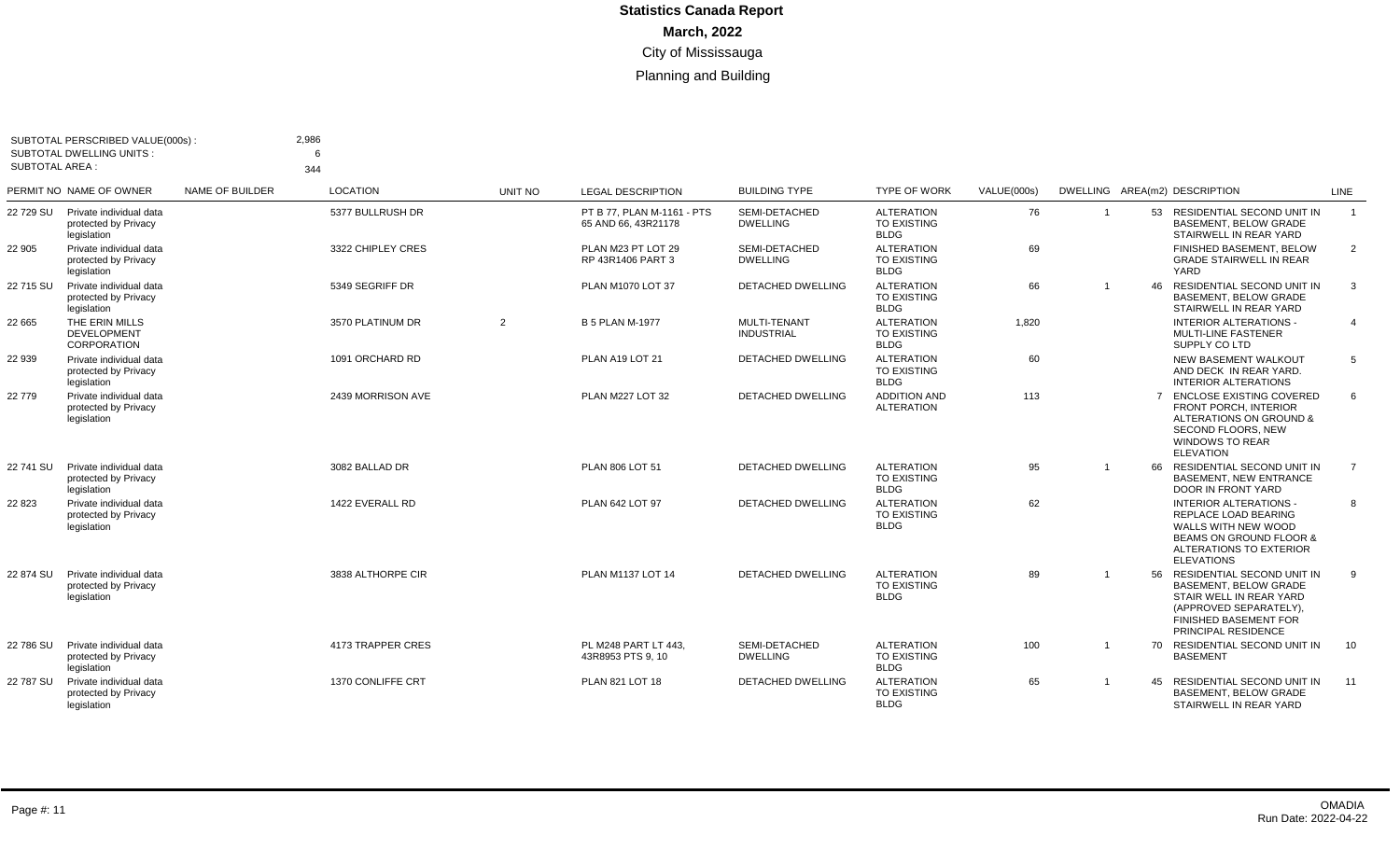|                       | SUBTOTAL PERSCRIBED VALUE(000s):<br><b>SUBTOTAL DWELLING UNITS:</b> |                        | 2,986<br>6        |         |                                                   |                                   |                                                        |             |                |    |                                                                                                                                                                           |                |
|-----------------------|---------------------------------------------------------------------|------------------------|-------------------|---------|---------------------------------------------------|-----------------------------------|--------------------------------------------------------|-------------|----------------|----|---------------------------------------------------------------------------------------------------------------------------------------------------------------------------|----------------|
| <b>SUBTOTAL AREA:</b> |                                                                     |                        | 344               |         |                                                   |                                   |                                                        |             |                |    |                                                                                                                                                                           |                |
|                       | PERMIT NO NAME OF OWNER                                             | <b>NAME OF BUILDER</b> | <b>LOCATION</b>   | UNIT NO | <b>LEGAL DESCRIPTION</b>                          | <b>BUILDING TYPE</b>              | <b>TYPE OF WORK</b>                                    | VALUE(000s) |                |    | DWELLING AREA(m2) DESCRIPTION                                                                                                                                             | <b>LINE</b>    |
| 22 729 SU             | Private individual data<br>protected by Privacy<br>legislation      |                        | 5377 BULLRUSH DR  |         | PT B 77. PLAN M-1161 - PTS<br>65 AND 66, 43R21178 | SEMI-DETACHED<br><b>DWELLING</b>  | <b>ALTERATION</b><br><b>TO EXISTING</b><br><b>BLDG</b> | 76          |                |    | 53 RESIDENTIAL SECOND UNIT IN<br><b>BASEMENT, BELOW GRADE</b><br>STAIRWELL IN REAR YARD                                                                                   | $\overline{1}$ |
| 22 905                | Private individual data<br>protected by Privacy<br>legislation      |                        | 3322 CHIPLEY CRES |         | PLAN M23 PT LOT 29<br>RP 43R1406 PART 3           | SEMI-DETACHED<br><b>DWELLING</b>  | <b>ALTERATION</b><br>TO EXISTING<br><b>BLDG</b>        | 69          |                |    | FINISHED BASEMENT, BELOW<br><b>GRADE STAIRWELL IN REAR</b><br><b>YARD</b>                                                                                                 | $\overline{2}$ |
| 22 715 SU             | Private individual data<br>protected by Privacy<br>legislation      |                        | 5349 SEGRIFF DR   |         | PLAN M1070 LOT 37                                 | <b>DETACHED DWELLING</b>          | <b>ALTERATION</b><br><b>TO EXISTING</b><br><b>BLDG</b> | 66          |                | 46 | RESIDENTIAL SECOND UNIT IN<br><b>BASEMENT, BELOW GRADE</b><br>STAIRWELL IN REAR YARD                                                                                      | 3              |
| 22 665                | THE ERIN MILLS<br>DEVELOPMENT<br><b>CORPORATION</b>                 |                        | 3570 PLATINUM DR  | 2       | <b>B 5 PLAN M-1977</b>                            | MULTI-TENANT<br><b>INDUSTRIAL</b> | <b>ALTERATION</b><br>TO EXISTING<br><b>BLDG</b>        | 1,820       |                |    | <b>INTERIOR ALTERATIONS -</b><br><b>MULTI-LINE FASTENER</b><br>SUPPLY CO LTD                                                                                              | $\overline{4}$ |
| 22 939                | Private individual data<br>protected by Privacy<br>legislation      |                        | 1091 ORCHARD RD   |         | PLAN A19 LOT 21                                   | DETACHED DWELLING                 | <b>ALTERATION</b><br><b>TO EXISTING</b><br><b>BLDG</b> | 60          |                |    | NEW BASEMENT WALKOUT<br>AND DECK IN REAR YARD.<br><b>INTERIOR ALTERATIONS</b>                                                                                             | 5              |
| 22 779                | Private individual data<br>protected by Privacy<br>legislation      |                        | 2439 MORRISON AVE |         | <b>PLAN M227 LOT 32</b>                           | <b>DETACHED DWELLING</b>          | <b>ADDITION AND</b><br><b>ALTERATION</b>               | 113         |                |    | 7 ENCLOSE EXISTING COVERED<br><b>FRONT PORCH, INTERIOR</b><br>ALTERATIONS ON GROUND &<br><b>SECOND FLOORS. NEW</b><br><b>WINDOWS TO REAR</b><br><b>ELEVATION</b>          | 6              |
| 22 741 SU             | Private individual data<br>protected by Privacy<br>legislation      |                        | 3082 BALLAD DR    |         | PLAN 806 LOT 51                                   | <b>DETACHED DWELLING</b>          | <b>ALTERATION</b><br><b>TO EXISTING</b><br><b>BLDG</b> | 95          | $\overline{1}$ |    | 66 RESIDENTIAL SECOND UNIT IN<br><b>BASEMENT, NEW ENTRANCE</b><br><b>DOOR IN FRONT YARD</b>                                                                               | $\overline{7}$ |
| 22 8 23               | Private individual data<br>protected by Privacy<br>legislation      |                        | 1422 EVERALL RD   |         | PLAN 642 LOT 97                                   | <b>DETACHED DWELLING</b>          | <b>ALTERATION</b><br>TO EXISTING<br><b>BLDG</b>        | 62          |                |    | <b>INTERIOR ALTERATIONS -</b><br>REPLACE LOAD BEARING<br>WALLS WITH NEW WOOD<br><b>BEAMS ON GROUND FLOOR &amp;</b><br>ALTERATIONS TO EXTERIOR<br><b>ELEVATIONS</b>        | 8              |
| 22 874 SU             | Private individual data<br>protected by Privacy<br>legislation      |                        | 3838 ALTHORPE CIR |         | PLAN M1137 LOT 14                                 | <b>DETACHED DWELLING</b>          | <b>ALTERATION</b><br><b>TO EXISTING</b><br><b>BLDG</b> | 89          |                |    | 56 RESIDENTIAL SECOND UNIT IN<br><b>BASEMENT, BELOW GRADE</b><br>STAIR WELL IN REAR YARD<br>(APPROVED SEPARATELY).<br><b>FINISHED BASEMENT FOR</b><br>PRINCIPAL RESIDENCE | 9              |
| 22 786 SU             | Private individual data<br>protected by Privacy<br>legislation      |                        | 4173 TRAPPER CRES |         | PL M248 PART LT 443.<br>43R8953 PTS 9.10          | SEMI-DETACHED<br><b>DWELLING</b>  | <b>ALTERATION</b><br><b>TO EXISTING</b><br><b>BLDG</b> | 100         | $\overline{1}$ |    | 70 RESIDENTIAL SECOND UNIT IN<br><b>BASEMENT</b>                                                                                                                          | 10             |
| 22 787 SU             | Private individual data<br>protected by Privacy<br>legislation      |                        | 1370 CONLIFFE CRT |         | PLAN 821 LOT 18                                   | <b>DETACHED DWELLING</b>          | <b>ALTERATION</b><br><b>TO EXISTING</b><br><b>BLDG</b> | 65          |                | 45 | RESIDENTIAL SECOND UNIT IN<br><b>BASEMENT, BELOW GRADE</b><br>STAIRWELL IN REAR YARD                                                                                      | 11             |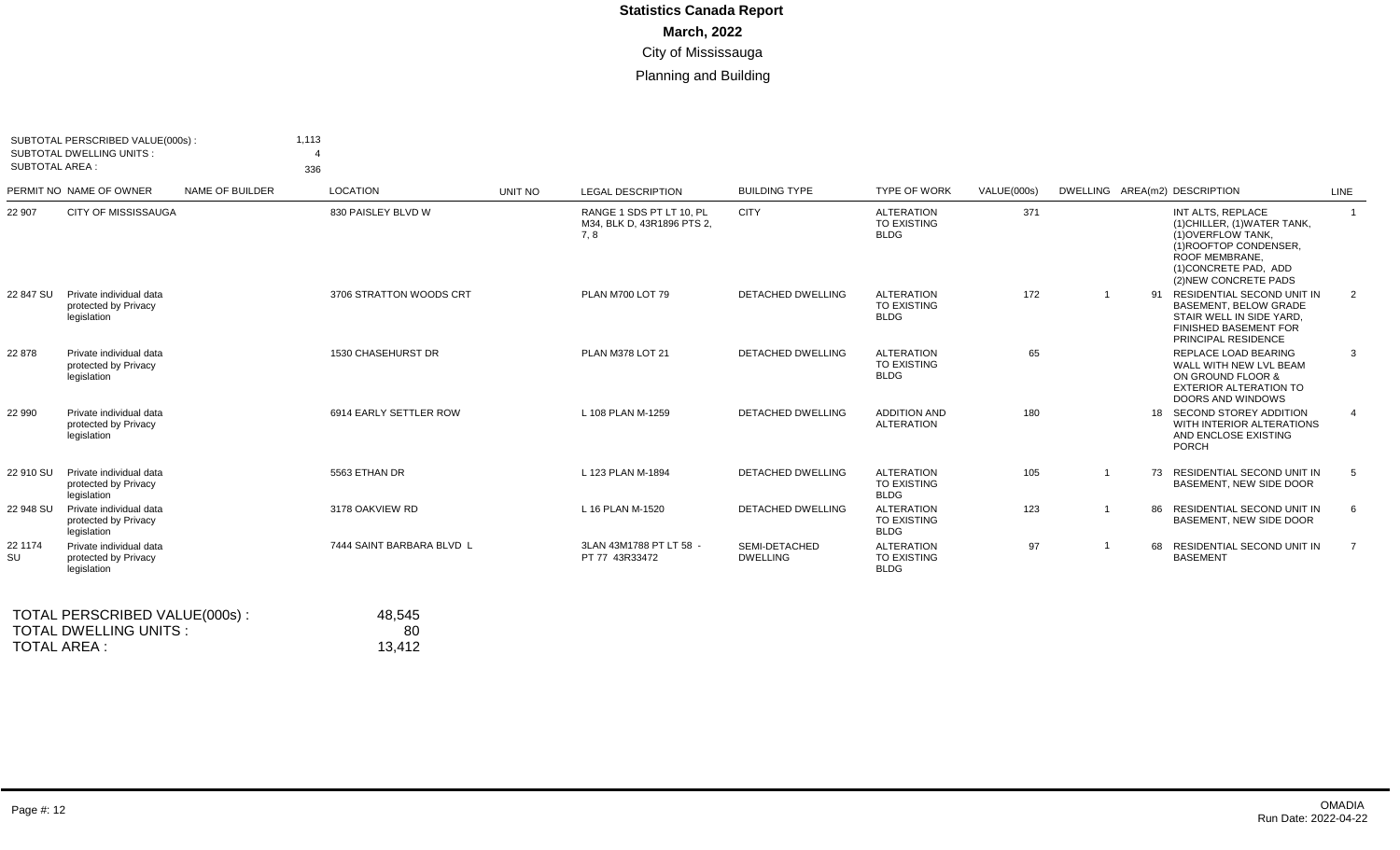| <b>SUBTOTAL AREA:</b> | SUBTOTAL PERSCRIBED VALUE(000s):<br><b>SUBTOTAL DWELLING UNITS:</b> |                 | 1,113<br>336 |                           |         |                                                               |                                  |                                                        |             |                |     |                                                                                                                                                                       |                |
|-----------------------|---------------------------------------------------------------------|-----------------|--------------|---------------------------|---------|---------------------------------------------------------------|----------------------------------|--------------------------------------------------------|-------------|----------------|-----|-----------------------------------------------------------------------------------------------------------------------------------------------------------------------|----------------|
|                       | PERMIT NO NAME OF OWNER                                             | NAME OF BUILDER |              | LOCATION                  | UNIT NO | <b>LEGAL DESCRIPTION</b>                                      | <b>BUILDING TYPE</b>             | <b>TYPE OF WORK</b>                                    | VALUE(000s) |                |     | DWELLING AREA(m2) DESCRIPTION                                                                                                                                         | LINE           |
| 22 907                | <b>CITY OF MISSISSAUGA</b>                                          |                 |              | 830 PAISLEY BLVD W        |         | RANGE 1 SDS PT LT 10. PL<br>M34, BLK D, 43R1896 PTS 2,<br>7.8 | <b>CITY</b>                      | <b>ALTERATION</b><br><b>TO EXISTING</b><br><b>BLDG</b> | 371         |                |     | INT ALTS. REPLACE<br>(1) CHILLER, (1) WATER TANK,<br>(1) OVERFLOW TANK.<br>(1) ROOFTOP CONDENSER.<br>ROOF MEMBRANE.<br>(1) CONCRETE PAD, ADD<br>(2) NEW CONCRETE PADS | $\overline{1}$ |
| 22 847 SU             | Private individual data<br>protected by Privacy<br>legislation      |                 |              | 3706 STRATTON WOODS CRT   |         | PLAN M700 LOT 79                                              | <b>DETACHED DWELLING</b>         | <b>ALTERATION</b><br><b>TO EXISTING</b><br><b>BLDG</b> | 172         | $\overline{1}$ |     | 91 RESIDENTIAL SECOND UNIT IN<br><b>BASEMENT, BELOW GRADE</b><br>STAIR WELL IN SIDE YARD.<br><b>FINISHED BASEMENT FOR</b><br>PRINCIPAL RESIDENCE                      | 2              |
| 22 878                | Private individual data<br>protected by Privacy<br>legislation      |                 |              | 1530 CHASEHURST DR        |         | PLAN M378 LOT 21                                              | <b>DETACHED DWELLING</b>         | <b>ALTERATION</b><br>TO EXISTING<br><b>BLDG</b>        | 65          |                |     | REPLACE LOAD BEARING<br>WALL WITH NEW LVL BEAM<br>ON GROUND FLOOR &<br><b>EXTERIOR ALTERATION TO</b><br>DOORS AND WINDOWS                                             | 3              |
| 22 990                | Private individual data<br>protected by Privacy<br>legislation      |                 |              | 6914 EARLY SETTLER ROW    |         | L 108 PLAN M-1259                                             | <b>DETACHED DWELLING</b>         | <b>ADDITION AND</b><br><b>ALTERATION</b>               | 180         |                |     | 18 SECOND STOREY ADDITION<br>WITH INTERIOR ALTERATIONS<br>AND ENCLOSE EXISTING<br><b>PORCH</b>                                                                        |                |
| 22 910 SU             | Private individual data<br>protected by Privacy<br>legislation      |                 |              | 5563 ETHAN DR             |         | L 123 PLAN M-1894                                             | <b>DETACHED DWELLING</b>         | <b>ALTERATION</b><br><b>TO EXISTING</b><br><b>BLDG</b> | 105         |                |     | 73 RESIDENTIAL SECOND UNIT IN<br>BASEMENT. NEW SIDE DOOR                                                                                                              | - 5            |
| 22 948 SU             | Private individual data<br>protected by Privacy<br>legislation      |                 |              | 3178 OAKVIEW RD           |         | L 16 PLAN M-1520                                              | <b>DETACHED DWELLING</b>         | <b>ALTERATION</b><br><b>TO EXISTING</b><br><b>BLDG</b> | 123         |                | 86. | RESIDENTIAL SECOND UNIT IN<br>BASEMENT, NEW SIDE DOOR                                                                                                                 | -6             |
| 22 1174<br>SU         | Private individual data<br>protected by Privacy<br>legislation      |                 |              | 7444 SAINT BARBARA BLVD L |         | 3LAN 43M1788 PT LT 58 -<br>PT 77 43R33472                     | SEMI-DETACHED<br><b>DWELLING</b> | <b>ALTERATION</b><br><b>TO EXISTING</b><br><b>BLDG</b> | 97          |                |     | 68 RESIDENTIAL SECOND UNIT IN<br><b>BASEMENT</b>                                                                                                                      | $\overline{7}$ |

| TOTAL PERSCRIBED VALUE(000s): | 48.545 |
|-------------------------------|--------|
| TOTAL DWELLING UNITS :        | 80     |
| TOTAL AREA :                  | 13.412 |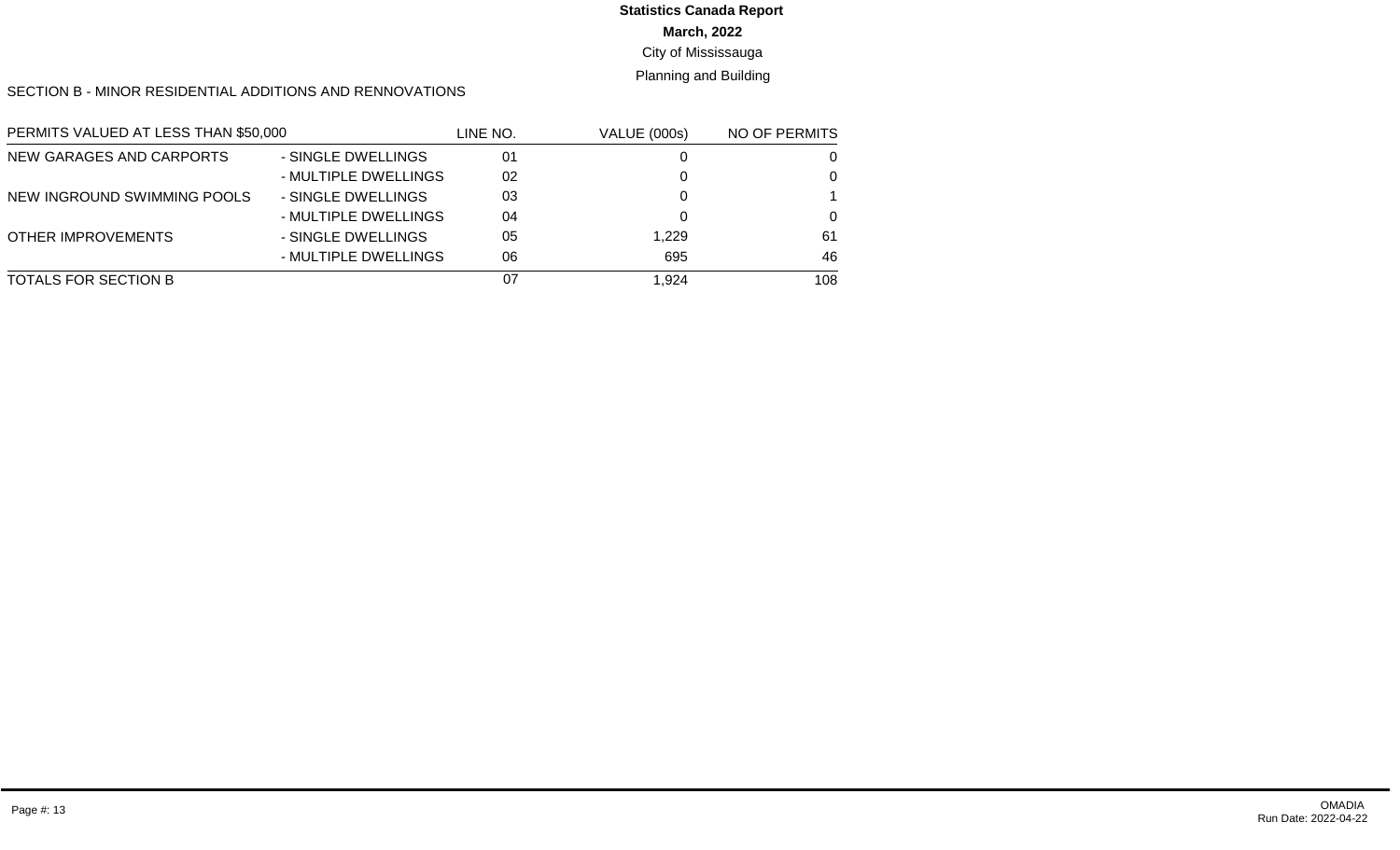#### **March, 2022** City of Mississauga **Statistics Canada Report**

Planning and Building

#### SECTION B - MINOR RESIDENTIAL ADDITIONS AND RENNOVATIONS

| PERMITS VALUED AT LESS THAN \$50,000 |                      | LINE NO. | <b>VALUE (000s)</b> | NO OF PERMITS |  |
|--------------------------------------|----------------------|----------|---------------------|---------------|--|
| NEW GARAGES AND CARPORTS             | - SINGLE DWELLINGS   | 01       |                     |               |  |
|                                      | - MULTIPLE DWELLINGS | 02       |                     | 0             |  |
| NEW INGROUND SWIMMING POOLS          | - SINGLE DWELLINGS   | 03       |                     |               |  |
|                                      | - MULTIPLE DWELLINGS | 04       |                     | 0             |  |
| OTHER IMPROVEMENTS                   | - SINGLE DWELLINGS   | 05       | 1.229               | 61            |  |
|                                      | - MULTIPLE DWELLINGS | 06       | 695                 | 46            |  |
| TOTALS FOR SECTION B                 |                      | 07       | 1.924               | 108           |  |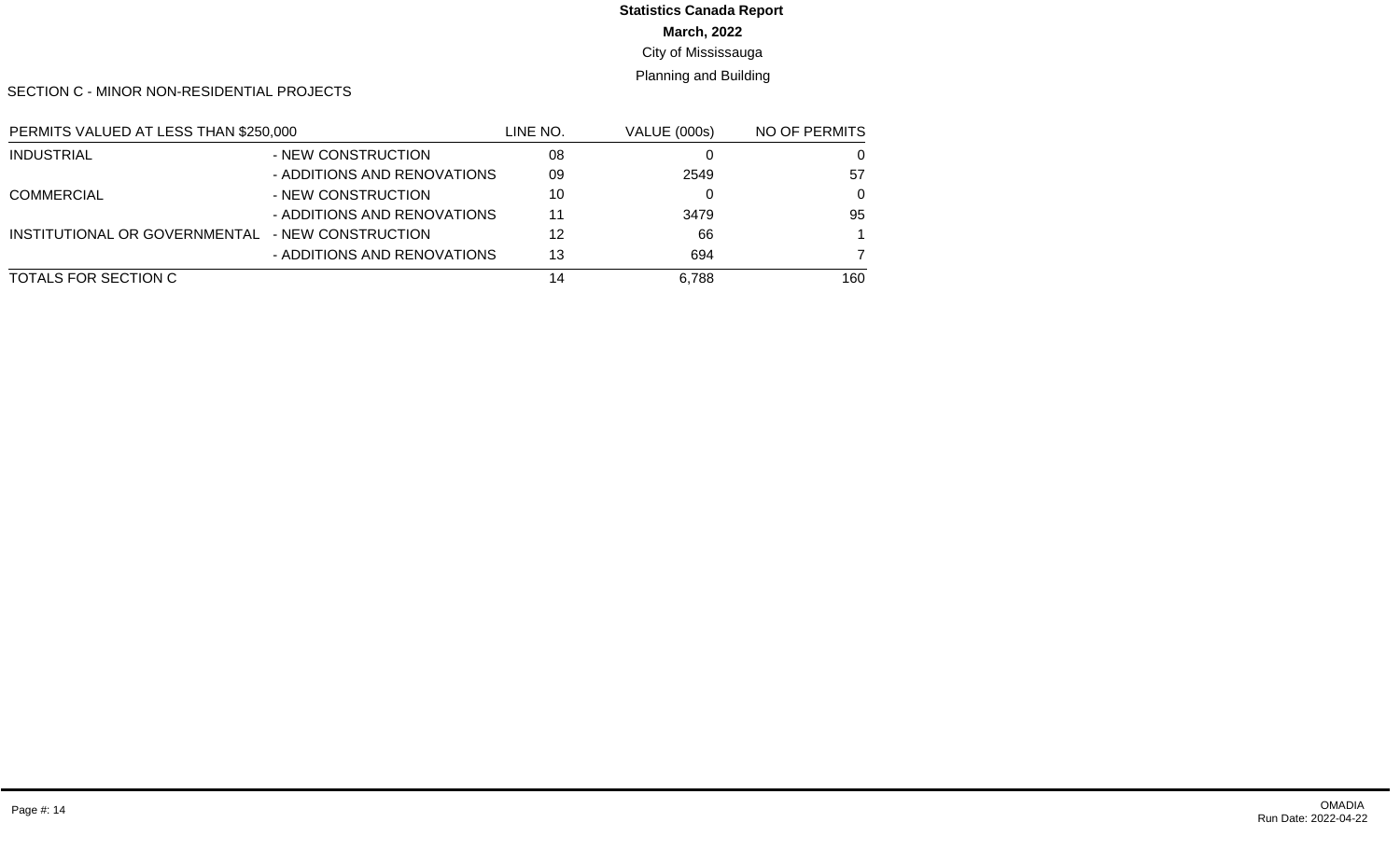# **March, 2022 Statistics Canada Report**

# City of Mississauga

#### Planning and Building

SECTION C - MINOR NON-RESIDENTIAL PROJECTS

| PERMITS VALUED AT LESS THAN \$250,000 |                             | LINE NO. | <b>VALUE (000s)</b> | NO OF PERMITS |
|---------------------------------------|-----------------------------|----------|---------------------|---------------|
| <b>INDUSTRIAL</b>                     | - NEW CONSTRUCTION          | 08       |                     | 0             |
|                                       | - ADDITIONS AND RENOVATIONS | 09       | 2549                | 57            |
| <b>COMMERCIAL</b>                     | - NEW CONSTRUCTION          | 10       |                     | $\Omega$      |
|                                       | - ADDITIONS AND RENOVATIONS | 11       | 3479                | 95            |
| INSTITUTIONAL OR GOVERNMENTAL         | - NEW CONSTRUCTION          | 12       | 66                  |               |
|                                       | - ADDITIONS AND RENOVATIONS | 13       | 694                 |               |
| TOTALS FOR SECTION C                  |                             | 14       | 6.788               | 160           |